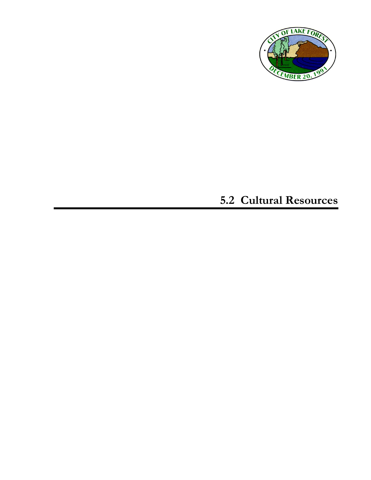

# **5.2 Cultural Resources**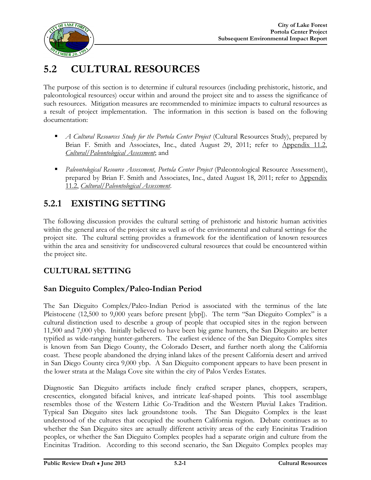

# **5.2 CULTURAL RESOURCES**

The purpose of this section is to determine if cultural resources (including prehistoric, historic, and paleontological resources) occur within and around the project site and to assess the significance of such resources. Mitigation measures are recommended to minimize impacts to cultural resources as a result of project implementation. The information in this section is based on the following documentation:

- *A Cultural Resources Study for the Portola Center Project* (Cultural Resources Study), prepared by Brian F. Smith and Associates, Inc., dated August 29, 2011; refer to Appendix 11.2, *Cultural/Paleontological Assessment*; and
- *Paleontological Resource Assessment, Portola Center Project* (Paleontological Resource Assessment), prepared by Brian F. Smith and Associates, Inc., dated August 18, 2011; refer to Appendix 11.2, *Cultural/Paleontological Assessment*.

# **5.2.1 EXISTING SETTING**

The following discussion provides the cultural setting of prehistoric and historic human activities within the general area of the project site as well as of the environmental and cultural settings for the project site. The cultural setting provides a framework for the identification of known resources within the area and sensitivity for undiscovered cultural resources that could be encountered within the project site.

# **CULTURAL SETTING**

### **San Dieguito Complex/Paleo-Indian Period**

The San Dieguito Complex/Paleo-Indian Period is associated with the terminus of the late Pleistocene (12,500 to 9,000 years before present [ybp]). The term "San Dieguito Complex" is a cultural distinction used to describe a group of people that occupied sites in the region between 11,500 and 7,000 ybp. Initially believed to have been big game hunters, the San Dieguito are better typified as wide-ranging hunter-gatherers. The earliest evidence of the San Dieguito Complex sites is known from San Diego County, the Colorado Desert, and further north along the California coast. These people abandoned the drying inland lakes of the present California desert and arrived in San Diego County circa 9,000 ybp. A San Dieguito component appears to have been present in the lower strata at the Malaga Cove site within the city of Palos Verdes Estates.

Diagnostic San Dieguito artifacts include finely crafted scraper planes, choppers, scrapers, crescentics, elongated bifacial knives, and intricate leaf-shaped points. This tool assemblage resembles those of the Western Lithic Co-Tradition and the Western Pluvial Lakes Tradition. Typical San Dieguito sites lack groundstone tools. The San Dieguito Complex is the least understood of the cultures that occupied the southern California region. Debate continues as to whether the San Dieguito sites are actually different activity areas of the early Encinitas Tradition peoples, or whether the San Dieguito Complex peoples had a separate origin and culture from the Encinitas Tradition. According to this second scenario, the San Dieguito Complex peoples may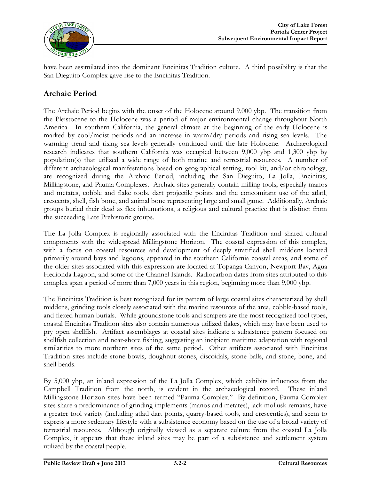

have been assimilated into the dominant Encinitas Tradition culture. A third possibility is that the San Dieguito Complex gave rise to the Encinitas Tradition.

### **Archaic Period**

The Archaic Period begins with the onset of the Holocene around 9,000 ybp. The transition from the Pleistocene to the Holocene was a period of major environmental change throughout North America. In southern California, the general climate at the beginning of the early Holocene is marked by cool/moist periods and an increase in warm/dry periods and rising sea levels. The warming trend and rising sea levels generally continued until the late Holocene. Archaeological research indicates that southern California was occupied between 9,000 ybp and 1,300 ybp by population(s) that utilized a wide range of both marine and terrestrial resources. A number of different archaeological manifestations based on geographical setting, tool kit, and/or chronology, are recognized during the Archaic Period, including the San Dieguito, La Jolla, Encinitas, Millingstone, and Pauma Complexes. Archaic sites generally contain milling tools, especially manos and metates, cobble and flake tools, dart projectile points and the concomitant use of the atlatl, crescents, shell, fish bone, and animal bone representing large and small game. Additionally, Archaic groups buried their dead as flex inhumations, a religious and cultural practice that is distinct from the succeeding Late Prehistoric groups.

The La Jolla Complex is regionally associated with the Encinitas Tradition and shared cultural components with the widespread Millingstone Horizon. The coastal expression of this complex, with a focus on coastal resources and development of deeply stratified shell middens located primarily around bays and lagoons, appeared in the southern California coastal areas, and some of the older sites associated with this expression are located at Topanga Canyon, Newport Bay, Agua Hedionda Lagoon, and some of the Channel Islands. Radiocarbon dates from sites attributed to this complex span a period of more than 7,000 years in this region, beginning more than 9,000 ybp.

The Encinitas Tradition is best recognized for its pattern of large coastal sites characterized by shell middens, grinding tools closely associated with the marine resources of the area, cobble-based tools, and flexed human burials. While groundstone tools and scrapers are the most recognized tool types, coastal Encinitas Tradition sites also contain numerous utilized flakes, which may have been used to pry open shellfish. Artifact assemblages at coastal sites indicate a subsistence pattern focused on shellfish collection and near-shore fishing, suggesting an incipient maritime adaptation with regional similarities to more northern sites of the same period. Other artifacts associated with Encinitas Tradition sites include stone bowls, doughnut stones, discoidals, stone balls, and stone, bone, and shell beads.

By 5,000 ybp, an inland expression of the La Jolla Complex, which exhibits influences from the Campbell Tradition from the north, is evident in the archaeological record. These inland Millingstone Horizon sites have been termed "Pauma Complex." By definition, Pauma Complex sites share a predominance of grinding implements (manos and metates), lack mollusk remains, have a greater tool variety (including atlatl dart points, quarry-based tools, and crescentics), and seem to express a more sedentary lifestyle with a subsistence economy based on the use of a broad variety of terrestrial resources. Although originally viewed as a separate culture from the coastal La Jolla Complex, it appears that these inland sites may be part of a subsistence and settlement system utilized by the coastal people.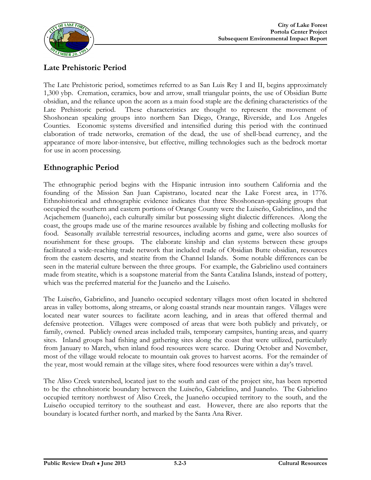

### **Late Prehistoric Period**

The Late Prehistoric period, sometimes referred to as San Luis Rey I and II, begins approximately 1,300 ybp. Cremation, ceramics, bow and arrow, small triangular points, the use of Obsidian Butte obsidian, and the reliance upon the acorn as a main food staple are the defining characteristics of the Late Prehistoric period. These characteristics are thought to represent the movement of Shoshonean speaking groups into northern San Diego, Orange, Riverside, and Los Angeles Counties. Economic systems diversified and intensified during this period with the continued elaboration of trade networks, cremation of the dead, the use of shell-bead currency, and the appearance of more labor-intensive, but effective, milling technologies such as the bedrock mortar for use in acorn processing.

### **Ethnographic Period**

The ethnographic period begins with the Hispanic intrusion into southern California and the founding of the Mission San Juan Capistrano, located near the Lake Forest area, in 1776. Ethnohistorical and ethnographic evidence indicates that three Shoshonean-speaking groups that occupied the southern and eastern portions of Orange County were the Luiseño, Gabrielino, and the Acjachemem (Juaneño), each culturally similar but possessing slight dialectic differences. Along the coast, the groups made use of the marine resources available by fishing and collecting mollusks for food. Seasonally available terrestrial resources, including acorns and game, were also sources of nourishment for these groups. The elaborate kinship and clan systems between these groups facilitated a wide-reaching trade network that included trade of Obsidian Butte obsidian, resources from the eastern deserts, and steatite from the Channel Islands. Some notable differences can be seen in the material culture between the three groups. For example, the Gabrielino used containers made from steatite, which is a soapstone material from the Santa Catalina Islands, instead of pottery, which was the preferred material for the Juaneño and the Luiseño.

The Luiseño, Gabrielino, and Juaneño occupied sedentary villages most often located in sheltered areas in valley bottoms, along streams, or along coastal strands near mountain ranges. Villages were located near water sources to facilitate acorn leaching, and in areas that offered thermal and defensive protection. Villages were composed of areas that were both publicly and privately, or family, owned. Publicly owned areas included trails, temporary campsites, hunting areas, and quarry sites. Inland groups had fishing and gathering sites along the coast that were utilized, particularly from January to March, when inland food resources were scarce. During October and November, most of the village would relocate to mountain oak groves to harvest acorns. For the remainder of the year, most would remain at the village sites, where food resources were within a day's travel.

The Aliso Creek watershed, located just to the south and east of the project site, has been reported to be the ethnohistoric boundary between the Luiseño, Gabrielino, and Juaneño. The Gabrielino occupied territory northwest of Aliso Creek, the Juaneño occupied territory to the south, and the Luiseño occupied territory to the southeast and east. However, there are also reports that the boundary is located further north, and marked by the Santa Ana River.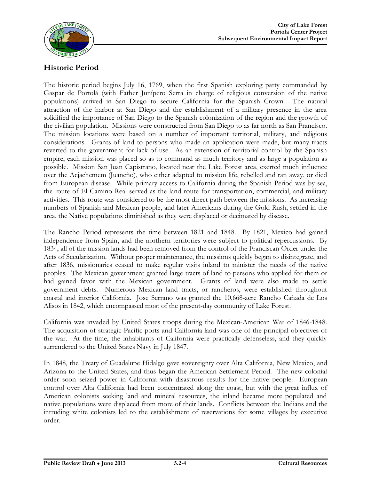

### **Historic Period**

The historic period begins July 16, 1769, when the first Spanish exploring party commanded by Gaspar de Portolá (with Father Junípero Serra in charge of religious conversion of the native populations) arrived in San Diego to secure California for the Spanish Crown. The natural attraction of the harbor at San Diego and the establishment of a military presence in the area solidified the importance of San Diego to the Spanish colonization of the region and the growth of the civilian population. Missions were constructed from San Diego to as far north as San Francisco. The mission locations were based on a number of important territorial, military, and religious considerations. Grants of land to persons who made an application were made, but many tracts reverted to the government for lack of use. As an extension of territorial control by the Spanish empire, each mission was placed so as to command as much territory and as large a population as possible. Mission San Juan Capistrano, located near the Lake Forest area, exerted much influence over the Acjachemem (Juaneño), who either adapted to mission life, rebelled and ran away, or died from European disease. While primary access to California during the Spanish Period was by sea, the route of El Camino Real served as the land route for transportation, commercial, and military activities. This route was considered to be the most direct path between the missions. As increasing numbers of Spanish and Mexican people, and later Americans during the Gold Rush, settled in the area, the Native populations diminished as they were displaced or decimated by disease.

The Rancho Period represents the time between 1821 and 1848. By 1821, Mexico had gained independence from Spain, and the northern territories were subject to political repercussions. By 1834, all of the mission lands had been removed from the control of the Franciscan Order under the Acts of Secularization. Without proper maintenance, the missions quickly began to disintegrate, and after 1836, missionaries ceased to make regular visits inland to minister the needs of the native peoples. The Mexican government granted large tracts of land to persons who applied for them or had gained favor with the Mexican government. Grants of land were also made to settle government debts. Numerous Mexican land tracts, or rancheros, were established throughout coastal and interior California. Jose Serrano was granted the 10,668-acre Rancho Cañada de Los Alisos in 1842, which encompassed most of the present-day community of Lake Forest.

California was invaded by United States troops during the Mexican-American War of 1846-1848. The acquisition of strategic Pacific ports and California land was one of the principal objectives of the war. At the time, the inhabitants of California were practically defenseless, and they quickly surrendered to the United States Navy in July 1847.

In 1848, the Treaty of Guadalupe Hidalgo gave sovereignty over Alta California, New Mexico, and Arizona to the United States, and thus began the American Settlement Period. The new colonial order soon seized power in California with disastrous results for the native people. European control over Alta California had been concentrated along the coast, but with the great influx of American colonists seeking land and mineral resources, the inland became more populated and native populations were displaced from more of their lands. Conflicts between the Indians and the intruding white colonists led to the establishment of reservations for some villages by executive order.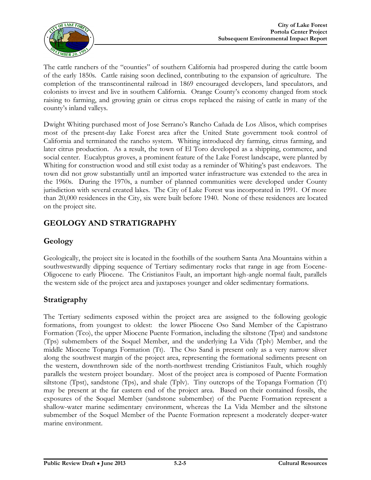

The cattle ranchers of the "counties" of southern California had prospered during the cattle boom of the early 1850s. Cattle raising soon declined, contributing to the expansion of agriculture. The completion of the transcontinental railroad in 1869 encouraged developers, land speculators, and colonists to invest and live in southern California. Orange County's economy changed from stock raising to farming, and growing grain or citrus crops replaced the raising of cattle in many of the county's inland valleys.

Dwight Whiting purchased most of Jose Serrano's Rancho Cañada de Los Alisos, which comprises most of the present-day Lake Forest area after the United State government took control of California and terminated the rancho system. Whiting introduced dry farming, citrus farming, and later citrus production. As a result, the town of El Toro developed as a shipping, commerce, and social center. Eucalyptus groves, a prominent feature of the Lake Forest landscape, were planted by Whiting for construction wood and still exist today as a reminder of Whiting's past endeavors. The town did not grow substantially until an imported water infrastructure was extended to the area in the 1960s. During the 1970s, a number of planned communities were developed under County jurisdiction with several created lakes. The City of Lake Forest was incorporated in 1991. Of more than 20,000 residences in the City, six were built before 1940. None of these residences are located on the project site.

# **GEOLOGY AND STRATIGRAPHY**

### **Geology**

Geologically, the project site is located in the foothills of the southern Santa Ana Mountains within a southwestwardly dipping sequence of Tertiary sedimentary rocks that range in age from Eocene-Oligocene to early Pliocene. The Cristianitos Fault, an important high-angle normal fault, parallels the western side of the project area and juxtaposes younger and older sedimentary formations.

# **Stratigraphy**

The Tertiary sediments exposed within the project area are assigned to the following geologic formations, from youngest to oldest: the lower Pliocene Oso Sand Member of the Capistrano Formation (Tco), the upper Miocene Puente Formation, including the siltstone (Tpst) and sandstone (Tps) submembers of the Soquel Member, and the underlying La Vida (Tplv) Member, and the middle Miocene Topanga Formation (Tt). The Oso Sand is present only as a very narrow sliver along the southwest margin of the project area, representing the formational sediments present on the western, downthrown side of the north-northwest trending Cristianitos Fault, which roughly parallels the western project boundary. Most of the project area is composed of Puente Formation siltstone (Tpst), sandstone (Tps), and shale (Tplv). Tiny outcrops of the Topanga Formation (Tt) may be present at the far eastern end of the project area. Based on their contained fossils, the exposures of the Soquel Member (sandstone submember) of the Puente Formation represent a shallow-water marine sedimentary environment, whereas the La Vida Member and the siltstone submember of the Soquel Member of the Puente Formation represent a moderately deeper-water marine environment.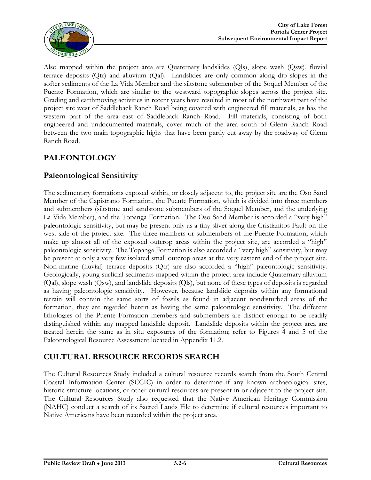

Also mapped within the project area are Quaternary landslides (Qls), slope wash (Qsw), fluvial terrace deposits (Qtr) and alluvium (Qal). Landslides are only common along dip slopes in the softer sediments of the La Vida Member and the siltstone submember of the Soquel Member of the Puente Formation, which are similar to the westward topographic slopes across the project site. Grading and earthmoving activities in recent years have resulted in most of the northwest part of the project site west of Saddleback Ranch Road being covered with engineered fill materials, as has the western part of the area east of Saddleback Ranch Road. Fill materials, consisting of both engineered and undocumented materials, cover much of the area south of Glenn Ranch Road between the two main topographic highs that have been partly cut away by the roadway of Glenn Ranch Road.

# **PALEONTOLOGY**

### **Paleontological Sensitivity**

The sedimentary formations exposed within, or closely adjacent to, the project site are the Oso Sand Member of the Capistrano Formation, the Puente Formation, which is divided into three members and submembers (siltstone and sandstone submembers of the Soquel Member, and the underlying La Vida Member), and the Topanga Formation. The Oso Sand Member is accorded a "very high" paleontologic sensitivity, but may be present only as a tiny sliver along the Cristianitos Fault on the west side of the project site. The three members or submembers of the Puente Formation, which make up almost all of the exposed outcrop areas within the project site, are accorded a "high" paleontologic sensitivity. The Topanga Formation is also accorded a "very high" sensitivity, but may be present at only a very few isolated small outcrop areas at the very eastern end of the project site. Non-marine (fluvial) terrace deposits (Qtr) are also accorded a "high" paleontologic sensitivity. Geologically, young surficial sediments mapped within the project area include Quaternary alluvium (Qal), slope wash (Qsw), and landslide deposits (Qls), but none of these types of deposits is regarded as having paleontologic sensitivity. However, because landslide deposits within any formational terrain will contain the same sorts of fossils as found in adjacent nondisturbed areas of the formation, they are regarded herein as having the same paleontologic sensitivity. The different lithologies of the Puente Formation members and submembers are distinct enough to be readily distinguished within any mapped landslide deposit. Landslide deposits within the project area are treated herein the same as in situ exposures of the formation; refer to Figures 4 and 5 of the Paleontological Resource Assessment located in Appendix 11.2.

### **CULTURAL RESOURCE RECORDS SEARCH**

The Cultural Resources Study included a cultural resource records search from the South Central Coastal Information Center (SCCIC) in order to determine if any known archaeological sites, historic structure locations, or other cultural resources are present in or adjacent to the project site. The Cultural Resources Study also requested that the Native American Heritage Commission (NAHC) conduct a search of its Sacred Lands File to determine if cultural resources important to Native Americans have been recorded within the project area.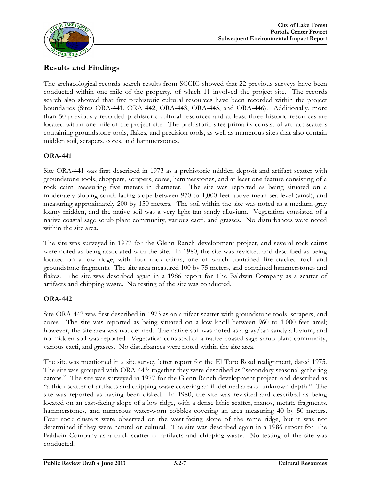

### **Results and Findings**

The archaeological records search results from SCCIC showed that 22 previous surveys have been conducted within one mile of the property, of which 11 involved the project site. The records search also showed that five prehistoric cultural resources have been recorded within the project boundaries (Sites ORA-441, ORA 442, ORA-443, ORA-445, and ORA-446). Additionally, more than 50 previously recorded prehistoric cultural resources and at least three historic resources are located within one mile of the project site. The prehistoric sites primarily consist of artifact scatters containing groundstone tools, flakes, and precision tools, as well as numerous sites that also contain midden soil, scrapers, cores, and hammerstones.

#### **ORA-441**

Site ORA-441 was first described in 1973 as a prehistoric midden deposit and artifact scatter with groundstone tools, choppers, scrapers, cores, hammerstones, and at least one feature consisting of a rock cairn measuring five meters in diameter. The site was reported as being situated on a moderately sloping south-facing slope between 970 to 1,000 feet above mean sea level (amsl), and measuring approximately 200 by 150 meters. The soil within the site was noted as a medium-gray loamy midden, and the native soil was a very light-tan sandy alluvium. Vegetation consisted of a native coastal sage scrub plant community, various cacti, and grasses. No disturbances were noted within the site area.

The site was surveyed in 1977 for the Glenn Ranch development project, and several rock cairns were noted as being associated with the site. In 1980, the site was revisited and described as being located on a low ridge, with four rock cairns, one of which contained fire-cracked rock and groundstone fragments. The site area measured 100 by 75 meters, and contained hammerstones and flakes. The site was described again in a 1986 report for The Baldwin Company as a scatter of artifacts and chipping waste. No testing of the site was conducted.

#### **ORA-442**

Site ORA-442 was first described in 1973 as an artifact scatter with groundstone tools, scrapers, and cores. The site was reported as being situated on a low knoll between 960 to 1,000 feet amsl; however, the site area was not defined. The native soil was noted as a gray/tan sandy alluvium, and no midden soil was reported. Vegetation consisted of a native coastal sage scrub plant community, various cacti, and grasses. No disturbances were noted within the site area.

The site was mentioned in a site survey letter report for the El Toro Road realignment, dated 1975. The site was grouped with ORA-443; together they were described as "secondary seasonal gathering camps." The site was surveyed in 1977 for the Glenn Ranch development project, and described as "a thick scatter of artifacts and chipping waste covering an ill-defined area of unknown depth." The site was reported as having been disked. In 1980, the site was revisited and described as being located on an east-facing slope of a low ridge, with a dense lithic scatter, manos, metate fragments, hammerstones, and numerous water-worn cobbles covering an area measuring 40 by 50 meters. Four rock clusters were observed on the west-facing slope of the same ridge, but it was not determined if they were natural or cultural. The site was described again in a 1986 report for The Baldwin Company as a thick scatter of artifacts and chipping waste. No testing of the site was conducted.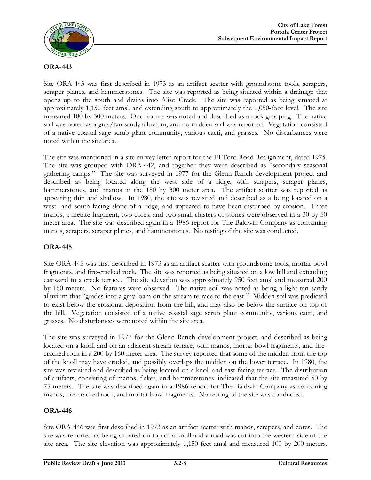

#### **ORA-443**

Site ORA-443 was first described in 1973 as an artifact scatter with groundstone tools, scrapers, scraper planes, and hammerstones. The site was reported as being situated within a drainage that opens up to the south and drains into Aliso Creek. The site was reported as being situated at approximately 1,150 feet amsl, and extending south to approximately the 1,050-foot level. The site measured 180 by 300 meters. One feature was noted and described as a rock grouping. The native soil was noted as a gray/tan sandy alluvium, and no midden soil was reported. Vegetation consisted of a native coastal sage scrub plant community, various cacti, and grasses. No disturbances were noted within the site area.

The site was mentioned in a site survey letter report for the El Toro Road Realignment, dated 1975. The site was grouped with ORA-442, and together they were described as "secondary seasonal gathering camps." The site was surveyed in 1977 for the Glenn Ranch development project and described as being located along the west side of a ridge, with scrapers, scraper planes, hammerstones, and manos in the 180 by 300 meter area. The artifact scatter was reported as appearing thin and shallow. In 1980, the site was revisited and described as a being located on a west- and south-facing slope of a ridge, and appeared to have been disturbed by erosion. Three manos, a metate fragment, two cores, and two small clusters of stones were observed in a 30 by 50 meter area. The site was described again in a 1986 report for The Baldwin Company as containing manos, scrapers, scraper planes, and hammerstones. No testing of the site was conducted.

#### **ORA-445**

Site ORA-445 was first described in 1973 as an artifact scatter with groundstone tools, mortar bowl fragments, and fire-cracked rock. The site was reported as being situated on a low hill and extending eastward to a creek terrace. The site elevation was approximately 950 feet amsl and measured 200 by 160 meters. No features were observed. The native soil was noted as being a light tan sandy alluvium that "grades into a gray loam on the stream terrace to the east." Midden soil was predicted to exist below the erosional deposition from the hill, and may also be below the surface on top of the hill. Vegetation consisted of a native coastal sage scrub plant community, various cacti, and grasses. No disturbances were noted within the site area.

The site was surveyed in 1977 for the Glenn Ranch development project, and described as being located on a knoll and on an adjacent stream terrace, with manos, mortar bowl fragments, and firecracked rock in a 200 by 160 meter area. The survey reported that some of the midden from the top of the knoll may have eroded, and possibly overlaps the midden on the lower terrace. In 1980, the site was revisited and described as being located on a knoll and east-facing terrace. The distribution of artifacts, consisting of manos, flakes, and hammerstones, indicated that the site measured 50 by 75 meters. The site was described again in a 1986 report for The Baldwin Company as containing manos, fire-cracked rock, and mortar bowl fragments. No testing of the site was conducted.

#### **ORA-446**

Site ORA-446 was first described in 1973 as an artifact scatter with manos, scrapers, and cores. The site was reported as being situated on top of a knoll and a road was cut into the western side of the site area. The site elevation was approximately 1,150 feet amsl and measured 100 by 200 meters.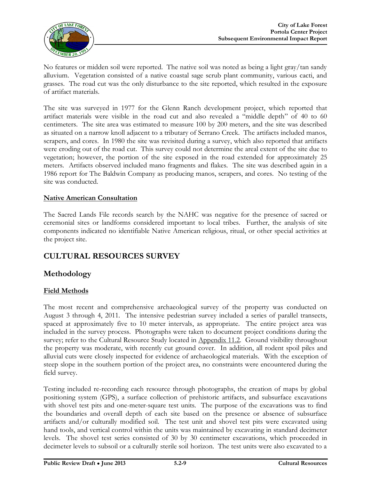

No features or midden soil were reported. The native soil was noted as being a light gray/tan sandy alluvium. Vegetation consisted of a native coastal sage scrub plant community, various cacti, and grasses. The road cut was the only disturbance to the site reported, which resulted in the exposure of artifact materials.

The site was surveyed in 1977 for the Glenn Ranch development project, which reported that artifact materials were visible in the road cut and also revealed a "middle depth" of 40 to 60 centimeters. The site area was estimated to measure 100 by 200 meters, and the site was described as situated on a narrow knoll adjacent to a tributary of Serrano Creek. The artifacts included manos, scrapers, and cores. In 1980 the site was revisited during a survey, which also reported that artifacts were eroding out of the road cut. This survey could not determine the areal extent of the site due to vegetation; however, the portion of the site exposed in the road extended for approximately 25 meters. Artifacts observed included mano fragments and flakes. The site was described again in a 1986 report for The Baldwin Company as producing manos, scrapers, and cores. No testing of the site was conducted.

#### **Native American Consultation**

The Sacred Lands File records search by the NAHC was negative for the presence of sacred or ceremonial sites or landforms considered important to local tribes. Further, the analysis of site components indicated no identifiable Native American religious, ritual, or other special activities at the project site.

### **CULTURAL RESOURCES SURVEY**

#### **Methodology**

#### **Field Methods**

The most recent and comprehensive archaeological survey of the property was conducted on August 3 through 4, 2011. The intensive pedestrian survey included a series of parallel transects, spaced at approximately five to 10 meter intervals, as appropriate. The entire project area was included in the survey process. Photographs were taken to document project conditions during the survey; refer to the Cultural Resource Study located in Appendix 11.2. Ground visibility throughout the property was moderate, with recently cut ground cover. In addition, all rodent spoil piles and alluvial cuts were closely inspected for evidence of archaeological materials. With the exception of steep slope in the southern portion of the project area, no constraints were encountered during the field survey.

Testing included re-recording each resource through photographs, the creation of maps by global positioning system (GPS), a surface collection of prehistoric artifacts, and subsurface excavations with shovel test pits and one-meter-square test units. The purpose of the excavations was to find the boundaries and overall depth of each site based on the presence or absence of subsurface artifacts and/or culturally modified soil. The test unit and shovel test pits were excavated using hand tools, and vertical control within the units was maintained by excavating in standard decimeter levels. The shovel test series consisted of 30 by 30 centimeter excavations, which proceeded in decimeter levels to subsoil or a culturally sterile soil horizon. The test units were also excavated to a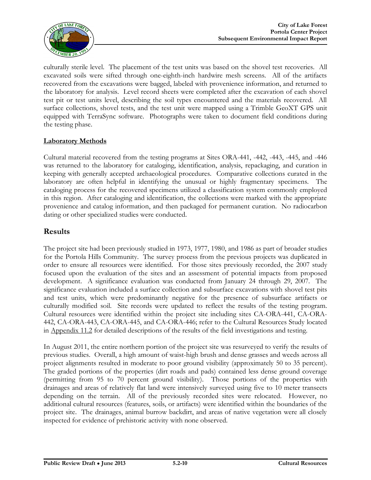

culturally sterile level. The placement of the test units was based on the shovel test recoveries. All excavated soils were sifted through one-eighth-inch hardwire mesh screens. All of the artifacts recovered from the excavations were bagged, labeled with provenience information, and returned to the laboratory for analysis. Level record sheets were completed after the excavation of each shovel test pit or test units level, describing the soil types encountered and the materials recovered. All surface collections, shovel tests, and the test unit were mapped using a Trimble GeoXT GPS unit equipped with TerraSync software. Photographs were taken to document field conditions during the testing phase.

#### **Laboratory Methods**

Cultural material recovered from the testing programs at Sites ORA-441, -442, -443, -445, and -446 was returned to the laboratory for cataloging, identification, analysis, repackaging, and curation in keeping with generally accepted archaeological procedures. Comparative collections curated in the laboratory are often helpful in identifying the unusual or highly fragmentary specimens. The cataloging process for the recovered specimens utilized a classification system commonly employed in this region. After cataloging and identification, the collections were marked with the appropriate provenience and catalog information, and then packaged for permanent curation. No radiocarbon dating or other specialized studies were conducted.

### **Results**

The project site had been previously studied in 1973, 1977, 1980, and 1986 as part of broader studies for the Portola Hills Community. The survey process from the previous projects was duplicated in order to ensure all resources were identified. For those sites previously recorded, the 2007 study focused upon the evaluation of the sites and an assessment of potential impacts from proposed development. A significance evaluation was conducted from January 24 through 29, 2007. The significance evaluation included a surface collection and subsurface excavations with shovel test pits and test units, which were predominantly negative for the presence of subsurface artifacts or culturally modified soil. Site records were updated to reflect the results of the testing program. Cultural resources were identified within the project site including sites CA-ORA-441, CA-ORA-442, CA-ORA-443, CA-ORA-445, and CA-ORA-446; refer to the Cultural Resources Study located in Appendix 11.2 for detailed descriptions of the results of the field investigations and testing.

In August 2011, the entire northern portion of the project site was resurveyed to verify the results of previous studies. Overall, a high amount of waist-high brush and dense grasses and weeds across all project alignments resulted in moderate to poor ground visibility (approximately 50 to 35 percent). The graded portions of the properties (dirt roads and pads) contained less dense ground coverage (permitting from 95 to 70 percent ground visibility). Those portions of the properties with drainages and areas of relatively flat land were intensively surveyed using five to 10 meter transects depending on the terrain. All of the previously recorded sites were relocated. However, no additional cultural resources (features, soils, or artifacts) were identified within the boundaries of the project site. The drainages, animal burrow backdirt, and areas of native vegetation were all closely inspected for evidence of prehistoric activity with none observed.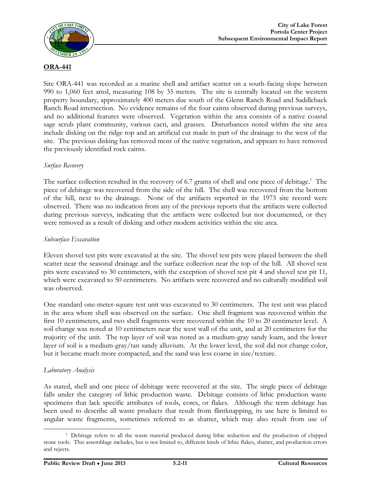

#### **ORA-441**

Site ORA-441 was recorded as a marine shell and artifact scatter on a south-facing slope between 990 to 1,060 feet amsl, measuring 108 by 35 meters. The site is centrally located on the western property boundary, approximately 400 meters due south of the Glenn Ranch Road and Saddleback Ranch Road intersection. No evidence remains of the four cairns observed during previous surveys, and no additional features were observed. Vegetation within the area consists of a native coastal sage scrub plant community, various cacti, and grasses. Disturbances noted within the site area include disking on the ridge top and an artificial cut made in part of the drainage to the west of the site. The previous disking has removed most of the native vegetation, and appears to have removed the previously identified rock cairns.

#### *Surface Recovery*

The surface collection resulted in the recovery of 6.7 grams of shell and one piece of debitage.<sup>1</sup> The piece of debitage was recovered from the side of the hill. The shell was recovered from the bottom of the hill, next to the drainage. None of the artifacts reported in the 1973 site record were observed. There was no indication from any of the previous reports that the artifacts were collected during previous surveys, indicating that the artifacts were collected but not documented, or they were removed as a result of disking and other modern activities within the site area.

#### *Subsurface Excavation*

Eleven shovel test pits were excavated at the site. The shovel test pits were placed between the shell scatter near the seasonal drainage and the surface collection near the top of the hill. All shovel test pits were excavated to 30 centimeters, with the exception of shovel test pit 4 and shovel test pit 11, which were excavated to 50 centimeters. No artifacts were recovered and no culturally modified soil was observed.

One standard one-meter-square test unit was excavated to 30 centimeters. The test unit was placed in the area where shell was observed on the surface. One shell fragment was recovered within the first 10 centimeters, and two shell fragments were recovered within the 10 to 20 centimeter level. A soil change was noted at 10 centimeters near the west wall of the unit, and at 20 centimeters for the majority of the unit. The top layer of soil was noted as a medium-gray sandy loam, and the lower layer of soil is a medium-gray/tan sandy alluvium. At the lower level, the soil did not change color, but it became much more compacted, and the sand was less coarse in size/texture.

#### *Laboratory Analysis*

 $\overline{a}$ 

As stated, shell and one piece of debitage were recovered at the site. The single piece of debitage falls under the category of lithic production waste. Debitage consists of lithic production waste specimens that lack specific attributes of tools, cores, or flakes. Although the term debitage has been used to describe all waste products that result from flintknapping, its use here is limited to angular waste fragments, sometimes referred to as shatter, which may also result from use of

<sup>&</sup>lt;sup>1</sup> Debitage refers to all the waste material produced during lithic reduction and the production of chipped stone tools. This assemblage includes, but is not limited to, different kinds of lithic flakes, shatter, and production errors and rejects.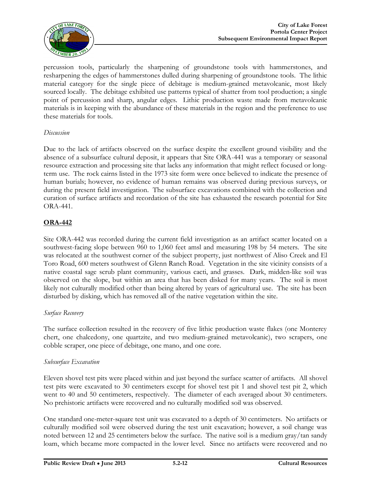

percussion tools, particularly the sharpening of groundstone tools with hammerstones, and resharpening the edges of hammerstones dulled during sharpening of groundstone tools. The lithic material category for the single piece of debitage is medium-grained metavolcanic, most likely sourced locally. The debitage exhibited use patterns typical of shatter from tool production; a single point of percussion and sharp, angular edges. Lithic production waste made from metavolcanic materials is in keeping with the abundance of these materials in the region and the preference to use these materials for tools.

#### *Discussion*

Due to the lack of artifacts observed on the surface despite the excellent ground visibility and the absence of a subsurface cultural deposit, it appears that Site ORA-441 was a temporary or seasonal resource extraction and processing site that lacks any information that might reflect focused or longterm use. The rock cairns listed in the 1973 site form were once believed to indicate the presence of human burials; however, no evidence of human remains was observed during previous surveys, or during the present field investigation. The subsurface excavations combined with the collection and curation of surface artifacts and recordation of the site has exhausted the research potential for Site ORA-441.

#### **ORA-442**

Site ORA-442 was recorded during the current field investigation as an artifact scatter located on a southwest-facing slope between 960 to 1,060 feet amsl and measuring 198 by 54 meters. The site was relocated at the southwest corner of the subject property, just northwest of Aliso Creek and El Toro Road, 600 meters southwest of Glenn Ranch Road. Vegetation in the site vicinity consists of a native coastal sage scrub plant community, various cacti, and grasses. Dark, midden-like soil was observed on the slope, but within an area that has been disked for many years. The soil is most likely not culturally modified other than being altered by years of agricultural use. The site has been disturbed by disking, which has removed all of the native vegetation within the site.

#### *Surface Recovery*

The surface collection resulted in the recovery of five lithic production waste flakes (one Monterey chert, one chalcedony, one quartzite, and two medium-grained metavolcanic), two scrapers, one cobble scraper, one piece of debitage, one mano, and one core.

#### *Subsurface Excavation*

Eleven shovel test pits were placed within and just beyond the surface scatter of artifacts. All shovel test pits were excavated to 30 centimeters except for shovel test pit 1 and shovel test pit 2, which went to 40 and 50 centimeters, respectively. The diameter of each averaged about 30 centimeters. No prehistoric artifacts were recovered and no culturally modified soil was observed.

One standard one-meter-square test unit was excavated to a depth of 30 centimeters. No artifacts or culturally modified soil were observed during the test unit excavation; however, a soil change was noted between 12 and 25 centimeters below the surface. The native soil is a medium gray/tan sandy loam, which became more compacted in the lower level. Since no artifacts were recovered and no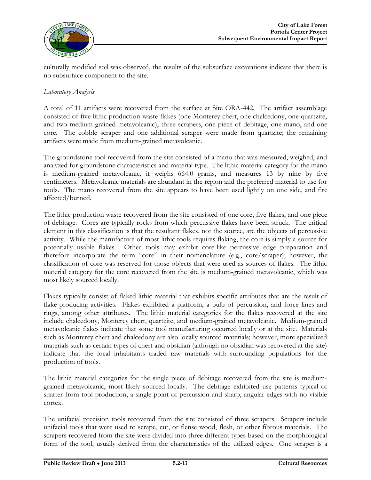

culturally modified soil was observed, the results of the subsurface excavations indicate that there is no subsurface component to the site.

#### *Laboratory Analysis*

A total of 11 artifacts were recovered from the surface at Site ORA-442. The artifact assemblage consisted of five lithic production waste flakes (one Monterey chert, one chalcedony, one quartzite, and two medium-grained metavolcanic), three scrapers, one piece of debitage, one mano, and one core. The cobble scraper and one additional scraper were made from quartzite; the remaining artifacts were made from medium-grained metavolcanic.

The groundstone tool recovered from the site consisted of a mano that was measured, weighed, and analyzed for groundstone characteristics and material type. The lithic material category for the mano is medium-grained metavolcanic, it weighs 664.0 grams, and measures 13 by nine by five centimeters. Metavolcanic materials are abundant in the region and the preferred material to use for tools. The mano recovered from the site appears to have been used lightly on one side, and fire affected/burned.

The lithic production waste recovered from the site consisted of one core, five flakes, and one piece of debitage. Cores are typically rocks from which percussive flakes have been struck. The critical element in this classification is that the resultant flakes, not the source, are the objects of percussive activity. While the manufacture of most lithic tools requires flaking, the core is simply a source for potentially usable flakes. Other tools may exhibit core-like percussive edge preparation and therefore incorporate the term "core" in their nomenclature (e.g., core/scraper); however, the classification of core was reserved for those objects that were used as sources of flakes. The lithic material category for the core recovered from the site is medium-grained metavolcanic, which was most likely sourced locally.

Flakes typically consist of flaked lithic material that exhibits specific attributes that are the result of flake-producing activities. Flakes exhibited a platform, a bulb of percussion, and force lines and rings, among other attributes. The lithic material categories for the flakes recovered at the site include chalcedony, Monterey chert, quartzite, and medium-grained metavolcanic. Medium-grained metavolcanic flakes indicate that some tool manufacturing occurred locally or at the site. Materials such as Monterey chert and chalcedony are also locally sourced materials; however, more specialized materials such as certain types of chert and obsidian (although no obsidian was recovered at the site) indicate that the local inhabitants traded raw materials with surrounding populations for the production of tools.

The lithic material categories for the single piece of debitage recovered from the site is mediumgrained metavolcanic, most likely sourced locally. The debitage exhibited use patterns typical of shatter from tool production, a single point of percussion and sharp, angular edges with no visible cortex.

The unifacial precision tools recovered from the site consisted of three scrapers. Scrapers include unifacial tools that were used to scrape, cut, or flense wood, flesh, or other fibrous materials. The scrapers recovered from the site were divided into three different types based on the morphological form of the tool, usually derived from the characteristics of the utilized edges. One scraper is a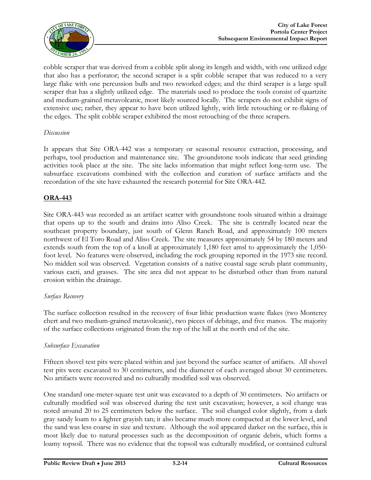

cobble scraper that was derived from a cobble split along its length and width, with one utilized edge that also has a perforator; the second scraper is a split cobble scraper that was reduced to a very large flake with one percussion bulb and two reworked edges; and the third scraper is a large spall scraper that has a slightly utilized edge. The materials used to produce the tools consist of quartzite and medium-grained metavolcanic, most likely sourced locally. The scrapers do not exhibit signs of extensive use; rather, they appear to have been utilized lightly, with little retouching or re-flaking of the edges. The split cobble scraper exhibited the most retouching of the three scrapers.

#### *Discussion*

It appears that Site ORA-442 was a temporary or seasonal resource extraction, processing, and perhaps, tool production and maintenance site. The groundstone tools indicate that seed grinding activities took place at the site. The site lacks information that might reflect long-term use. The subsurface excavations combined with the collection and curation of surface artifacts and the recordation of the site have exhausted the research potential for Site ORA-442.

#### **ORA-443**

Site ORA-443 was recorded as an artifact scatter with groundstone tools situated within a drainage that opens up to the south and drains into Aliso Creek. The site is centrally located near the southeast property boundary, just south of Glenn Ranch Road, and approximately 100 meters northwest of El Toro Road and Aliso Creek. The site measures approximately 54 by 180 meters and extends south from the top of a knoll at approximately 1,180 feet amsl to approximately the 1,050 foot level. No features were observed, including the rock grouping reported in the 1973 site record. No midden soil was observed. Vegetation consists of a native coastal sage scrub plant community, various cacti, and grasses. The site area did not appear to be disturbed other than from natural erosion within the drainage.

#### *Surface Recovery*

The surface collection resulted in the recovery of four lithic production waste flakes (two Monterey chert and two medium-grained metavolcanic), two pieces of debitage, and five manos. The majority of the surface collections originated from the top of the hill at the north end of the site.

#### *Subsurface Excavation*

Fifteen shovel test pits were placed within and just beyond the surface scatter of artifacts. All shovel test pits were excavated to 30 centimeters, and the diameter of each averaged about 30 centimeters. No artifacts were recovered and no culturally modified soil was observed.

One standard one-meter-square test unit was excavated to a depth of 30 centimeters. No artifacts or culturally modified soil was observed during the test unit excavation; however, a soil change was noted around 20 to 25 centimeters below the surface. The soil changed color slightly, from a dark gray sandy loam to a lighter grayish tan; it also became much more compacted at the lower level, and the sand was less coarse in size and texture. Although the soil appeared darker on the surface, this is most likely due to natural processes such as the decomposition of organic debris, which forms a loamy topsoil. There was no evidence that the topsoil was culturally modified, or contained cultural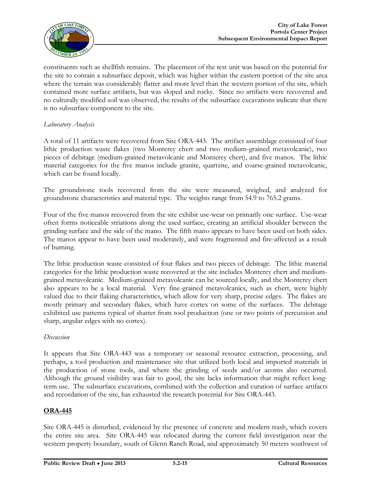

constituents such as shellfish remains. The placement of the test unit was based on the potential for the site to contain a subsurface deposit, which was higher within the eastern portion of the site area where the terrain was considerably flatter and more level than the western portion of the site, which contained more surface artifacts, but was sloped and rocky. Since no artifacts were recovered and no culturally modified soil was observed, the results of the subsurface excavations indicate that there is no subsurface component to the site.

#### *Laboratory Analysis*

A total of 11 artifacts were recovered from Site ORA-443. The artifact assemblage consisted of four lithic production waste flakes (two Monterey chert and two medium-grained metavolcanic), two pieces of debitage (medium-grained metavolcanic and Monterey chert), and five manos. The lithic material categories for the five manos include granite, quartzite, and coarse-grained metavolcanic, which can be found locally.

The groundstone tools recovered from the site were measured, weighed, and analyzed for groundstone characteristics and material type. The weights range from 54.9 to 765.2 grams.

Four of the five manos recovered from the site exhibit use-wear on primarily one surface. Use-wear often forms noticeable striations along the used surface, creating an artificial shoulder between the grinding surface and the side of the mano. The fifth mano appears to have been used on both sides. The manos appear to have been used moderately, and were fragmented and fire-affected as a result of burning.

The lithic production waste consisted of four flakes and two pieces of debitage. The lithic material categories for the lithic production waste recovered at the site includes Monterey chert and mediumgrained metavolcanic. Medium-grained metavolcanic can be sourced locally, and the Monterey chert also appears to be a local material. Very fine-grained metavolcanics, such as chert, were highly valued due to their flaking characteristics, which allow for very sharp, precise edges. The flakes are mostly primary and secondary flakes, which have cortex on some of the surfaces. The debitage exhibited use patterns typical of shatter from tool production (one or two points of percussion and sharp, angular edges with no cortex).

#### *Discussion*

It appears that Site ORA-443 was a temporary or seasonal resource extraction, processing, and perhaps, a tool production and maintenance site that utilized both local and imported materials in the production of stone tools, and where the grinding of seeds and/or acorns also occurred. Although the ground visibility was fair to good, the site lacks information that might reflect longterm use. The subsurface excavations, combined with the collection and curation of surface artifacts and recordation of the site, has exhausted the research potential for Site ORA-443.

#### **ORA-445**

Site ORA-445 is disturbed, evidenced by the presence of concrete and modern trash, which covers the entire site area. Site ORA-445 was relocated during the current field investigation near the western property boundary, south of Glenn Ranch Road, and approximately 50 meters southwest of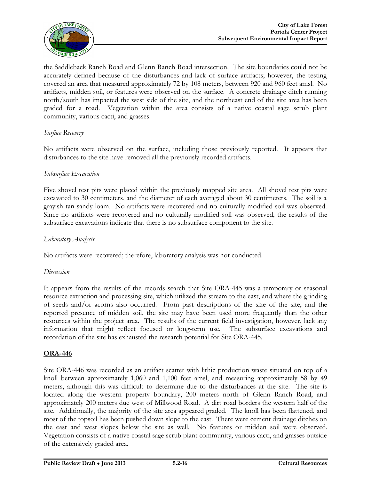

the Saddleback Ranch Road and Glenn Ranch Road intersection. The site boundaries could not be accurately defined because of the disturbances and lack of surface artifacts; however, the testing covered an area that measured approximately 72 by 108 meters, between 920 and 960 feet amsl. No artifacts, midden soil, or features were observed on the surface. A concrete drainage ditch running north/south has impacted the west side of the site, and the northeast end of the site area has been graded for a road. Vegetation within the area consists of a native coastal sage scrub plant community, various cacti, and grasses.

#### *Surface Recovery*

No artifacts were observed on the surface, including those previously reported. It appears that disturbances to the site have removed all the previously recorded artifacts.

#### *Subsurface Excavation*

Five shovel test pits were placed within the previously mapped site area. All shovel test pits were excavated to 30 centimeters, and the diameter of each averaged about 30 centimeters. The soil is a grayish tan sandy loam. No artifacts were recovered and no culturally modified soil was observed. Since no artifacts were recovered and no culturally modified soil was observed, the results of the subsurface excavations indicate that there is no subsurface component to the site.

#### *Laboratory Analysis*

No artifacts were recovered; therefore, laboratory analysis was not conducted.

#### *Discussion*

It appears from the results of the records search that Site ORA-445 was a temporary or seasonal resource extraction and processing site, which utilized the stream to the east, and where the grinding of seeds and/or acorns also occurred. From past descriptions of the size of the site, and the reported presence of midden soil, the site may have been used more frequently than the other resources within the project area. The results of the current field investigation, however, lack any information that might reflect focused or long-term use. The subsurface excavations and recordation of the site has exhausted the research potential for Site ORA-445.

#### **ORA-446**

Site ORA-446 was recorded as an artifact scatter with lithic production waste situated on top of a knoll between approximately 1,060 and 1,100 feet amsl, and measuring approximately 58 by 49 meters, although this was difficult to determine due to the disturbances at the site. The site is located along the western property boundary, 200 meters north of Glenn Ranch Road, and approximately 200 meters due west of Millwood Road. A dirt road borders the western half of the site. Additionally, the majority of the site area appeared graded. The knoll has been flattened, and most of the topsoil has been pushed down slope to the east. There were cement drainage ditches on the east and west slopes below the site as well. No features or midden soil were observed. Vegetation consists of a native coastal sage scrub plant community, various cacti, and grasses outside of the extensively graded area.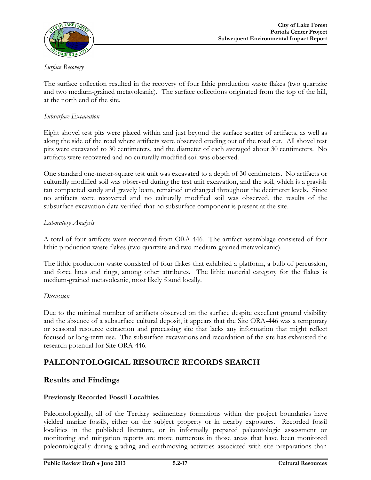

#### *Surface Recovery*

The surface collection resulted in the recovery of four lithic production waste flakes (two quartzite and two medium-grained metavolcanic). The surface collections originated from the top of the hill, at the north end of the site.

#### *Subsurface Excavation*

Eight shovel test pits were placed within and just beyond the surface scatter of artifacts, as well as along the side of the road where artifacts were observed eroding out of the road cut. All shovel test pits were excavated to 30 centimeters, and the diameter of each averaged about 30 centimeters. No artifacts were recovered and no culturally modified soil was observed.

One standard one-meter-square test unit was excavated to a depth of 30 centimeters. No artifacts or culturally modified soil was observed during the test unit excavation, and the soil, which is a grayish tan compacted sandy and gravely loam, remained unchanged throughout the decimeter levels. Since no artifacts were recovered and no culturally modified soil was observed, the results of the subsurface excavation data verified that no subsurface component is present at the site.

#### *Laboratory Analysis*

A total of four artifacts were recovered from ORA-446. The artifact assemblage consisted of four lithic production waste flakes (two quartzite and two medium-grained metavolcanic).

The lithic production waste consisted of four flakes that exhibited a platform, a bulb of percussion, and force lines and rings, among other attributes. The lithic material category for the flakes is medium-grained metavolcanic, most likely found locally.

#### *Discussion*

Due to the minimal number of artifacts observed on the surface despite excellent ground visibility and the absence of a subsurface cultural deposit, it appears that the Site ORA-446 was a temporary or seasonal resource extraction and processing site that lacks any information that might reflect focused or long-term use. The subsurface excavations and recordation of the site has exhausted the research potential for Site ORA-446.

### **PALEONTOLOGICAL RESOURCE RECORDS SEARCH**

#### **Results and Findings**

#### **Previously Recorded Fossil Localities**

Paleontologically, all of the Tertiary sedimentary formations within the project boundaries have yielded marine fossils, either on the subject property or in nearby exposures. Recorded fossil localities in the published literature, or in informally prepared paleontologic assessment or monitoring and mitigation reports are more numerous in those areas that have been monitored paleontologically during grading and earthmoving activities associated with site preparations than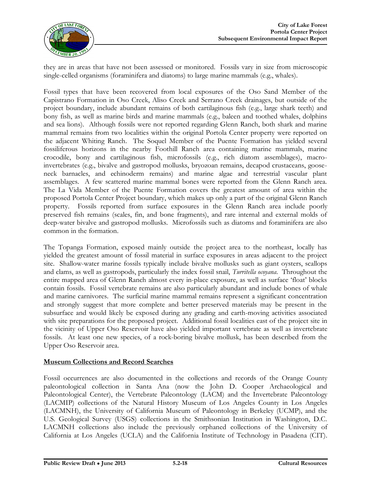

they are in areas that have not been assessed or monitored. Fossils vary in size from microscopic single-celled organisms (foraminifera and diatoms) to large marine mammals (e.g., whales).

Fossil types that have been recovered from local exposures of the Oso Sand Member of the Capistrano Formation in Oso Creek, Aliso Creek and Serrano Creek drainages, but outside of the project boundary, include abundant remains of both cartilaginous fish (e.g., large shark teeth) and bony fish, as well as marine birds and marine mammals (e.g., baleen and toothed whales, dolphins and sea lions). Although fossils were not reported regarding Glenn Ranch, both shark and marine mammal remains from two localities within the original Portola Center property were reported on the adjacent Whiting Ranch. The Soquel Member of the Puente Formation has yielded several fossiliferous horizons in the nearby Foothill Ranch area containing marine mammals, marine crocodile, bony and cartilaginous fish, microfossils (e.g., rich diatom assemblages), macroinvertebrates (e.g., bivalve and gastropod mollusks, bryozoan remains, decapod crustaceans, gooseneck barnacles, and echinoderm remains) and marine algae and terrestrial vascular plant assemblages. A few scattered marine mammal bones were reported from the Glenn Ranch area. The La Vida Member of the Puente Formation covers the greatest amount of area within the proposed Portola Center Project boundary, which makes up only a part of the original Glenn Ranch property. Fossils reported from surface exposures in the Glenn Ranch area include poorly preserved fish remains (scales, fin, and bone fragments), and rare internal and external molds of deep-water bivalve and gastropod mollusks. Microfossils such as diatoms and foraminifera are also common in the formation.

The Topanga Formation, exposed mainly outside the project area to the northeast, locally has yielded the greatest amount of fossil material in surface exposures in areas adjacent to the project site. Shallow-water marine fossils typically include bivalve mollusks such as giant oysters, scallops and clams, as well as gastropods, particularly the index fossil snail, *Turritella ocoyana*. Throughout the entire mapped area of Glenn Ranch almost every in-place exposure, as well as surface 'float' blocks contain fossils. Fossil vertebrate remains are also particularly abundant and include bones of whale and marine carnivores. The surficial marine mammal remains represent a significant concentration and strongly suggest that more complete and better preserved materials may be present in the subsurface and would likely be exposed during any grading and earth-moving activities associated with site preparations for the proposed project. Additional fossil localities east of the project site in the vicinity of Upper Oso Reservoir have also yielded important vertebrate as well as invertebrate fossils. At least one new species, of a rock-boring bivalve mollusk, has been described from the Upper Oso Reservoir area.

#### **Museum Collections and Record Searches**

Fossil occurrences are also documented in the collections and records of the Orange County paleontological collection in Santa Ana (now the John D. Cooper Archaeological and Paleontological Center), the Vertebrate Paleontology (LACM) and the Invertebrate Paleontology (LACMIP) collections of the Natural History Museum of Los Angeles County in Los Angeles (LACMNH), the University of California Museum of Paleontology in Berkeley (UCMP), and the U.S. Geological Survey (USGS) collections in the Smithsonian Institution in Washington, D.C. LACMNH collections also include the previously orphaned collections of the University of California at Los Angeles (UCLA) and the California Institute of Technology in Pasadena (CIT).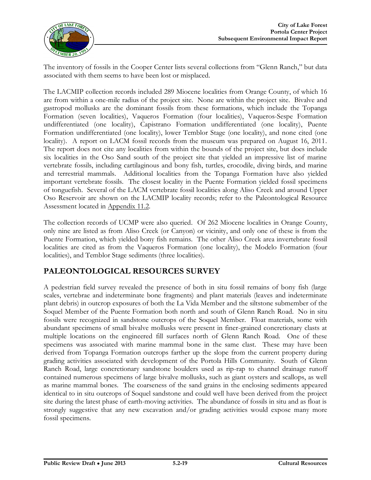

The inventory of fossils in the Cooper Center lists several collections from "Glenn Ranch," but data associated with them seems to have been lost or misplaced.

The LACMIP collection records included 289 Miocene localities from Orange County, of which 16 are from within a one-mile radius of the project site. None are within the project site. Bivalve and gastropod mollusks are the dominant fossils from these formations, which include the Topanga Formation (seven localities), Vaqueros Formation (four localities), Vaqueros-Sespe Formation undifferentiated (one locality), Capistrano Formation undifferentiated (one locality), Puente Formation undifferentiated (one locality), lower Temblor Stage (one locality), and none cited (one locality). A report on LACM fossil records from the museum was prepared on August 16, 2011. The report does not cite any localities from within the bounds of the project site, but does include six localities in the Oso Sand south of the project site that yielded an impressive list of marine vertebrate fossils, including cartilaginous and bony fish, turtles, crocodile, diving birds, and marine and terrestrial mammals. Additional localities from the Topanga Formation have also yielded important vertebrate fossils. The closest locality in the Puente Formation yielded fossil specimens of tonguefish. Several of the LACM vertebrate fossil localities along Aliso Creek and around Upper Oso Reservoir are shown on the LACMIP locality records; refer to the Paleontological Resource Assessment located in Appendix 11.2.

The collection records of UCMP were also queried. Of 262 Miocene localities in Orange County, only nine are listed as from Aliso Creek (or Canyon) or vicinity, and only one of these is from the Puente Formation, which yielded bony fish remains. The other Aliso Creek area invertebrate fossil localities are cited as from the Vaqueros Formation (one locality), the Modelo Formation (four localities), and Temblor Stage sediments (three localities).

### **PALEONTOLOGICAL RESOURCES SURVEY**

A pedestrian field survey revealed the presence of both in situ fossil remains of bony fish (large scales, vertebrae and indeterminate bone fragments) and plant materials (leaves and indeterminate plant debris) in outcrop exposures of both the La Vida Member and the siltstone submember of the Soquel Member of the Puente Formation both north and south of Glenn Ranch Road. No in situ fossils were recognized in sandstone outcrops of the Soquel Member. Float materials, some with abundant specimens of small bivalve mollusks were present in finer-grained concretionary clasts at multiple locations on the engineered fill surfaces north of Glenn Ranch Road. One of these specimens was associated with marine mammal bone in the same clast. These may have been derived from Topanga Formation outcrops farther up the slope from the current property during grading activities associated with development of the Portola Hills Community. South of Glenn Ranch Road, large concretionary sandstone boulders used as rip-rap to channel drainage runoff contained numerous specimens of large bivalve mollusks, such as giant oysters and scallops, as well as marine mammal bones. The coarseness of the sand grains in the enclosing sediments appeared identical to in situ outcrops of Soquel sandstone and could well have been derived from the project site during the latest phase of earth-moving activities. The abundance of fossils in situ and as float is strongly suggestive that any new excavation and/or grading activities would expose many more fossil specimens.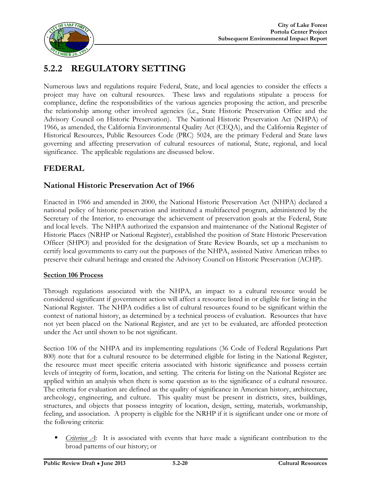

# **5.2.2 REGULATORY SETTING**

Numerous laws and regulations require Federal, State, and local agencies to consider the effects a project may have on cultural resources. These laws and regulations stipulate a process for compliance, define the responsibilities of the various agencies proposing the action, and prescribe the relationship among other involved agencies (i.e., State Historic Preservation Office and the Advisory Council on Historic Preservation). The National Historic Preservation Act (NHPA) of 1966, as amended, the California Environmental Quality Act (CEQA), and the California Register of Historical Resources, Public Resources Code (PRC) 5024, are the primary Federal and State laws governing and affecting preservation of cultural resources of national, State, regional, and local significance. The applicable regulations are discussed below.

### **FEDERAL**

### **National Historic Preservation Act of 1966**

Enacted in 1966 and amended in 2000, the National Historic Preservation Act (NHPA) declared a national policy of historic preservation and instituted a multifaceted program, administered by the Secretary of the Interior, to encourage the achievement of preservation goals at the Federal, State and local levels. The NHPA authorized the expansion and maintenance of the National Register of Historic Places (NRHP or National Register), established the position of State Historic Preservation Officer (SHPO) and provided for the designation of State Review Boards, set up a mechanism to certify local governments to carry out the purposes of the NHPA, assisted Native American tribes to preserve their cultural heritage and created the Advisory Council on Historic Preservation (ACHP).

#### **Section 106 Process**

Through regulations associated with the NHPA, an impact to a cultural resource would be considered significant if government action will affect a resource listed in or eligible for listing in the National Register. The NHPA codifies a list of cultural resources found to be significant within the context of national history, as determined by a technical process of evaluation. Resources that have not yet been placed on the National Register, and are yet to be evaluated, are afforded protection under the Act until shown to be not significant.

Section 106 of the NHPA and its implementing regulations (36 Code of Federal Regulations Part 800) note that for a cultural resource to be determined eligible for listing in the National Register, the resource must meet specific criteria associated with historic significance and possess certain levels of integrity of form, location, and setting. The criteria for listing on the National Register are applied within an analysis when there is some question as to the significance of a cultural resource. The criteria for evaluation are defined as the quality of significance in American history, architecture, archeology, engineering, and culture. This quality must be present in districts, sites, buildings, structures, and objects that possess integrity of location, design, setting, materials, workmanship, feeling, and association. A property is eligible for the NRHP if it is significant under one or more of the following criteria:

 *Criterion A*: It is associated with events that have made a significant contribution to the broad patterns of our history; or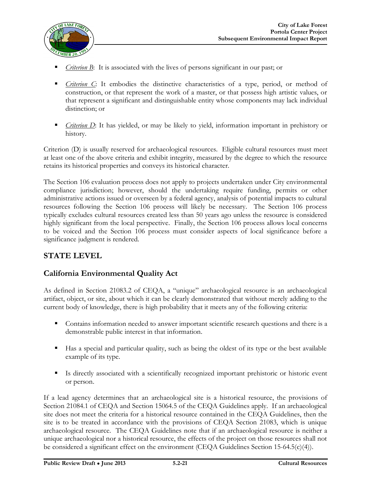

- *Criterion B*: It is associated with the lives of persons significant in our past; or
- *Criterion C*: It embodies the distinctive characteristics of a type, period, or method of construction, or that represent the work of a master, or that possess high artistic values, or that represent a significant and distinguishable entity whose components may lack individual distinction; or
- *Criterion D*: It has yielded, or may be likely to yield, information important in prehistory or history.

Criterion (D) is usually reserved for archaeological resources. Eligible cultural resources must meet at least one of the above criteria and exhibit integrity, measured by the degree to which the resource retains its historical properties and conveys its historical character.

The Section 106 evaluation process does not apply to projects undertaken under City environmental compliance jurisdiction; however, should the undertaking require funding, permits or other administrative actions issued or overseen by a federal agency, analysis of potential impacts to cultural resources following the Section 106 process will likely be necessary. The Section 106 process typically excludes cultural resources created less than 50 years ago unless the resource is considered highly significant from the local perspective. Finally, the Section 106 process allows local concerns to be voiced and the Section 106 process must consider aspects of local significance before a significance judgment is rendered.

### **STATE LEVEL**

### **California Environmental Quality Act**

As defined in Section 21083.2 of CEQA, a "unique" archaeological resource is an archaeological artifact, object, or site, about which it can be clearly demonstrated that without merely adding to the current body of knowledge, there is high probability that it meets any of the following criteria:

- **Contains information needed to answer important scientific research questions and there is a** demonstrable public interest in that information.
- Has a special and particular quality, such as being the oldest of its type or the best available example of its type.
- Is directly associated with a scientifically recognized important prehistoric or historic event or person.

If a lead agency determines that an archaeological site is a historical resource, the provisions of Section 21084.1 of CEQA and Section 15064.5 of the CEQA Guidelines apply. If an archaeological site does not meet the criteria for a historical resource contained in the CEQA Guidelines, then the site is to be treated in accordance with the provisions of CEQA Section 21083, which is unique archaeological resource. The CEQA Guidelines note that if an archaeological resource is neither a unique archaeological nor a historical resource, the effects of the project on those resources shall not be considered a significant effect on the environment (CEQA Guidelines Section 15-64.5(c)(4)).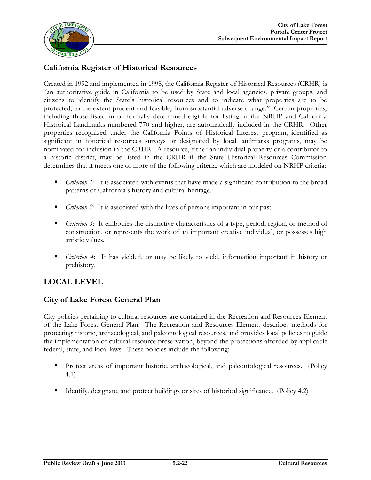

### **California Register of Historical Resources**

Created in 1992 and implemented in 1998, the California Register of Historical Resources (CRHR) is "an authoritative guide in California to be used by State and local agencies, private groups, and citizens to identify the State's historical resources and to indicate what properties are to be protected, to the extent prudent and feasible, from substantial adverse change." Certain properties, including those listed in or formally determined eligible for listing in the NRHP and California Historical Landmarks numbered 770 and higher, are automatically included in the CRHR. Other properties recognized under the California Points of Historical Interest program, identified as significant in historical resources surveys or designated by local landmarks programs, may be nominated for inclusion in the CRHR. A resource, either an individual property or a contributor to a historic district, may be listed in the CRHR if the State Historical Resources Commission determines that it meets one or more of the following criteria, which are modeled on NRHP criteria:

- **Criterion 1:** It is associated with events that have made a significant contribution to the broad patterns of California's history and cultural heritage.
- *Criterion 2*: It is associated with the lives of persons important in our past.
- *Criterion 3*: It embodies the distinctive characteristics of a type, period, region, or method of construction, or represents the work of an important creative individual, or possesses high artistic values.
- *Criterion 4*: It has yielded, or may be likely to yield, information important in history or prehistory.

### **LOCAL LEVEL**

### **City of Lake Forest General Plan**

City policies pertaining to cultural resources are contained in the Recreation and Resources Element of the Lake Forest General Plan. The Recreation and Resources Element describes methods for protecting historic, archaeological, and paleontological resources, and provides local policies to guide the implementation of cultural resource preservation, beyond the protections afforded by applicable federal, state, and local laws. These policies include the following:

- **Protect areas of important historic, archaeological, and paleontological resources.** (Policy 4.1)
- Identify, designate, and protect buildings or sites of historical significance. (Policy 4.2)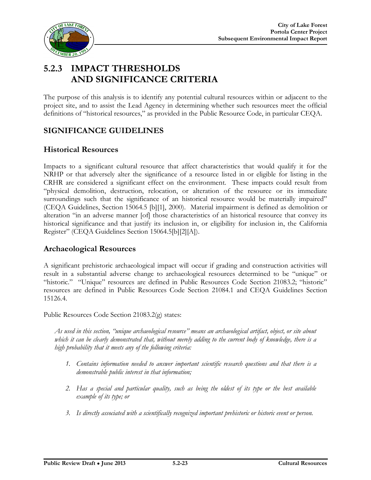

# **5.2.3 IMPACT THRESHOLDS AND SIGNIFICANCE CRITERIA**

The purpose of this analysis is to identify any potential cultural resources within or adjacent to the project site, and to assist the Lead Agency in determining whether such resources meet the official definitions of "historical resources," as provided in the Public Resource Code, in particular CEQA.

### **SIGNIFICANCE GUIDELINES**

### **Historical Resources**

Impacts to a significant cultural resource that affect characteristics that would qualify it for the NRHP or that adversely alter the significance of a resource listed in or eligible for listing in the CRHR are considered a significant effect on the environment. These impacts could result from "physical demolition, destruction, relocation, or alteration of the resource or its immediate surroundings such that the significance of an historical resource would be materially impaired" (CEQA Guidelines, Section 15064.5 [b][1], 2000). Material impairment is defined as demolition or alteration "in an adverse manner [of] those characteristics of an historical resource that convey its historical significance and that justify its inclusion in, or eligibility for inclusion in, the California Register" (CEQA Guidelines Section 15064.5[b][2][A]).

#### **Archaeological Resources**

A significant prehistoric archaeological impact will occur if grading and construction activities will result in a substantial adverse change to archaeological resources determined to be "unique" or "historic." "Unique" resources are defined in Public Resources Code Section 21083.2; "historic" resources are defined in Public Resources Code Section 21084.1 and CEQA Guidelines Section 15126.4.

Public Resources Code Section 21083.2(g) states:

*As used in this section, "unique archaeological resource" means an archaeological artifact, object, or site about which it can be clearly demonstrated that, without merely adding to the current body of knowledge, there is a high probability that it meets any of the following criteria:*

- *1. Contains information needed to answer important scientific research questions and that there is a demonstrable public interest in that information;*
- *2. Has a special and particular quality, such as being the oldest of its type or the best available example of its type; or*
- *3. Is directly associated with a scientifically recognized important prehistoric or historic event or person.*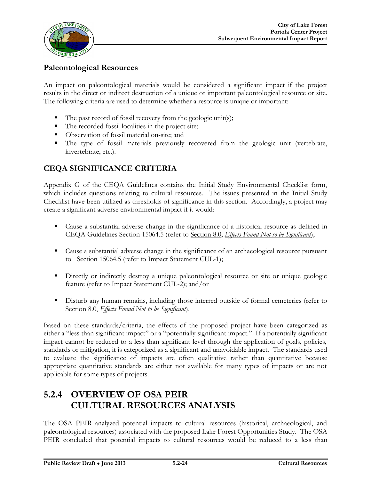

### **Paleontological Resources**

An impact on paleontological materials would be considered a significant impact if the project results in the direct or indirect destruction of a unique or important paleontological resource or site. The following criteria are used to determine whether a resource is unique or important:

- $\blacksquare$  The past record of fossil recovery from the geologic unit(s);
- The recorded fossil localities in the project site;
- Observation of fossil material on-site; and
- The type of fossil materials previously recovered from the geologic unit (vertebrate, invertebrate, etc.).

# **CEQA SIGNIFICANCE CRITERIA**

Appendix G of the CEQA Guidelines contains the Initial Study Environmental Checklist form, which includes questions relating to cultural resources. The issues presented in the Initial Study Checklist have been utilized as thresholds of significance in this section. Accordingly, a project may create a significant adverse environmental impact if it would:

- Cause a substantial adverse change in the significance of a historical resource as defined in CEQA Guidelines Section 15064.5 (refer to Section 8.0, *Effects Found Not to be Significant*);
- Cause a substantial adverse change in the significance of an archaeological resource pursuant to Section 15064.5 (refer to Impact Statement CUL-1);
- Directly or indirectly destroy a unique paleontological resource or site or unique geologic feature (refer to Impact Statement CUL-2); and/or
- Disturb any human remains, including those interred outside of formal cemeteries (refer to Section 8.0, *Effects Found Not to be Significant*).

Based on these standards/criteria, the effects of the proposed project have been categorized as either a "less than significant impact" or a "potentially significant impact." If a potentially significant impact cannot be reduced to a less than significant level through the application of goals, policies, standards or mitigation, it is categorized as a significant and unavoidable impact. The standards used to evaluate the significance of impacts are often qualitative rather than quantitative because appropriate quantitative standards are either not available for many types of impacts or are not applicable for some types of projects.

# **5.2.4 OVERVIEW OF OSA PEIR CULTURAL RESOURCES ANALYSIS**

The OSA PEIR analyzed potential impacts to cultural resources (historical, archaeological, and paleontological resources) associated with the proposed Lake Forest Opportunities Study. The OSA PEIR concluded that potential impacts to cultural resources would be reduced to a less than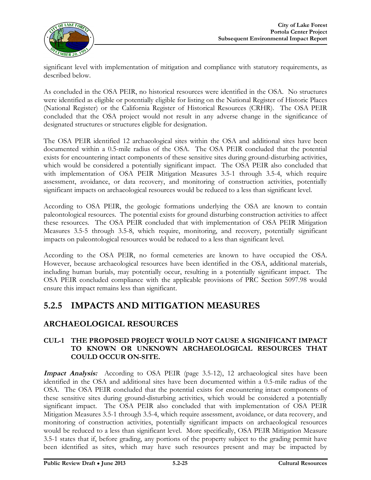

significant level with implementation of mitigation and compliance with statutory requirements, as described below.

As concluded in the OSA PEIR, no historical resources were identified in the OSA. No structures were identified as eligible or potentially eligible for listing on the National Register of Historic Places (National Register) or the California Register of Historical Resources (CRHR). The OSA PEIR concluded that the OSA project would not result in any adverse change in the significance of designated structures or structures eligible for designation.

The OSA PEIR identified 12 archaeological sites within the OSA and additional sites have been documented within a 0.5-mile radius of the OSA. The OSA PEIR concluded that the potential exists for encountering intact components of these sensitive sites during ground-disturbing activities, which would be considered a potentially significant impact. The OSA PEIR also concluded that with implementation of OSA PEIR Mitigation Measures 3.5-1 through 3.5-4, which require assessment, avoidance, or data recovery, and monitoring of construction activities, potentially significant impacts on archaeological resources would be reduced to a less than significant level.

According to OSA PEIR, the geologic formations underlying the OSA are known to contain paleontological resources. The potential exists for ground disturbing construction activities to affect these resources. The OSA PEIR concluded that with implementation of OSA PEIR Mitigation Measures 3.5-5 through 3.5-8, which require, monitoring, and recovery, potentially significant impacts on paleontological resources would be reduced to a less than significant level.

According to the OSA PEIR, no formal cemeteries are known to have occupied the OSA. However, because archaeological resources have been identified in the OSA, additional materials, including human burials, may potentially occur, resulting in a potentially significant impact. The OSA PEIR concluded compliance with the applicable provisions of PRC Section 5097.98 would ensure this impact remains less than significant.

# **5.2.5 IMPACTS AND MITIGATION MEASURES**

### **ARCHAEOLOGICAL RESOURCES**

#### **CUL-1 THE PROPOSED PROJECT WOULD NOT CAUSE A SIGNIFICANT IMPACT TO KNOWN OR UNKNOWN ARCHAEOLOGICAL RESOURCES THAT COULD OCCUR ON-SITE.**

**Impact Analysis:** According to OSA PEIR (page 3.5-12), 12 archaeological sites have been identified in the OSA and additional sites have been documented within a 0.5-mile radius of the OSA. The OSA PEIR concluded that the potential exists for encountering intact components of these sensitive sites during ground-disturbing activities, which would be considered a potentially significant impact. The OSA PEIR also concluded that with implementation of OSA PEIR Mitigation Measures 3.5-1 through 3.5-4, which require assessment, avoidance, or data recovery, and monitoring of construction activities, potentially significant impacts on archaeological resources would be reduced to a less than significant level. More specifically, OSA PEIR Mitigation Measure 3.5-1 states that if, before grading, any portions of the property subject to the grading permit have been identified as sites, which may have such resources present and may be impacted by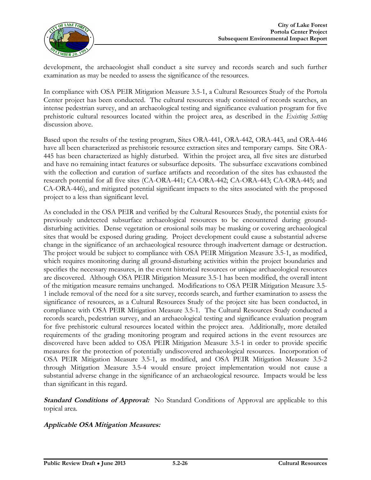

development, the archaeologist shall conduct a site survey and records search and such further examination as may be needed to assess the significance of the resources.

In compliance with OSA PEIR Mitigation Measure 3.5-1, a Cultural Resources Study of the Portola Center project has been conducted. The cultural resources study consisted of records searches, an intense pedestrian survey, and an archaeological testing and significance evaluation program for five prehistoric cultural resources located within the project area, as described in the *Existing Setting* discussion above.

Based upon the results of the testing program, Sites ORA-441, ORA-442, ORA-443, and ORA-446 have all been characterized as prehistoric resource extraction sites and temporary camps. Site ORA-445 has been characterized as highly disturbed. Within the project area, all five sites are disturbed and have no remaining intact features or subsurface deposits. The subsurface excavations combined with the collection and curation of surface artifacts and recordation of the sites has exhausted the research potential for all five sites (CA-ORA-441; CA-ORA-442; CA-ORA-443; CA-ORA-445; and CA-ORA-446), and mitigated potential significant impacts to the sites associated with the proposed project to a less than significant level.

As concluded in the OSA PEIR and verified by the Cultural Resources Study, the potential exists for previously undetected subsurface archaeological resources to be encountered during grounddisturbing activities. Dense vegetation or erosional soils may be masking or covering archaeological sites that would be exposed during grading. Project development could cause a substantial adverse change in the significance of an archaeological resource through inadvertent damage or destruction. The project would be subject to compliance with OSA PEIR Mitigation Measure 3.5-1, as modified, which requires monitoring during all ground-disturbing activities within the project boundaries and specifies the necessary measures, in the event historical resources or unique archaeological resources are discovered. Although OSA PEIR Mitigation Measure 3.5-1 has been modified, the overall intent of the mitigation measure remains unchanged. Modifications to OSA PEIR Mitigation Measure 3.5- 1 include removal of the need for a site survey, records search, and further examination to assess the significance of resources, as a Cultural Resources Study of the project site has been conducted, in compliance with OSA PEIR Mitigation Measure 3.5-1. The Cultural Resources Study conducted a records search, pedestrian survey, and an archaeological testing and significance evaluation program for five prehistoric cultural resources located within the project area. Additionally, more detailed requirements of the grading monitoring program and required actions in the event resources are discovered have been added to OSA PEIR Mitigation Measure 3.5-1 in order to provide specific measures for the protection of potentially undiscovered archaeological resources. Incorporation of OSA PEIR Mitigation Measure 3.5-1, as modified, and OSA PEIR Mitigation Measure 3.5-2 through Mitigation Measure 3.5-4 would ensure project implementation would not cause a substantial adverse change in the significance of an archaeological resource. Impacts would be less than significant in this regard.

**Standard Conditions of Approval:** No Standard Conditions of Approval are applicable to this topical area.

#### **Applicable OSA Mitigation Measures:**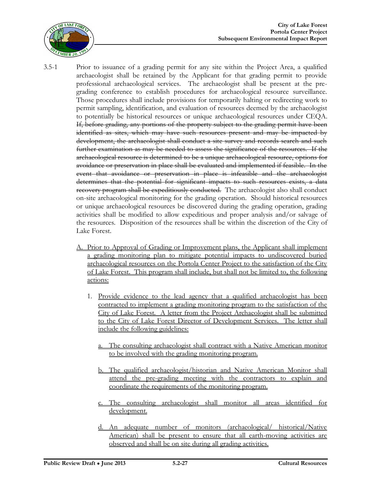

- 3.5-1 Prior to issuance of a grading permit for any site within the Project Area, a qualified archaeologist shall be retained by the Applicant for that grading permit to provide professional archaeological services. The archaeologist shall be present at the pregrading conference to establish procedures for archaeological resource surveillance. Those procedures shall include provisions for temporarily halting or redirecting work to permit sampling, identification, and evaluation of resources deemed by the archaeologist to potentially be historical resources or unique archaeological resources under CEQA. If, before grading, any portions of the property subject to the grading permit have been identified as sites, which may have such resources present and may be impacted by development, the archaeologist shall conduct a site survey and records search and such further examination as may be needed to assess the significance of the resources. If the archaeological resource is determined to be a unique archaeological resource, options for avoidance or preservation in place shall be evaluated and implemented if feasible. In the event that avoidance or preservation in place is infeasible and the archaeologist determines that the potential for significant impacts to such resources exists, a data recovery program shall be expeditiously conducted. The archaeologist also shall conduct on-site archaeological monitoring for the grading operation. Should historical resources or unique archaeological resources be discovered during the grading operation, grading activities shall be modified to allow expeditious and proper analysis and/or salvage of the resources. Disposition of the resources shall be within the discretion of the City of Lake Forest.
	- A. Prior to Approval of Grading or Improvement plans, the Applicant shall implement a grading monitoring plan to mitigate potential impacts to undiscovered buried archaeological resources on the Portola Center Project to the satisfaction of the City of Lake Forest. This program shall include, but shall not be limited to, the following actions:
		- 1. Provide evidence to the lead agency that a qualified archaeologist has been contracted to implement a grading monitoring program to the satisfaction of the City of Lake Forest. A letter from the Project Archaeologist shall be submitted to the City of Lake Forest Director of Development Services. The letter shall include the following guidelines:
			- a. The consulting archaeologist shall contract with a Native American monitor to be involved with the grading monitoring program.
			- The qualified archaeologist/historian and Native American Monitor shall attend the pre-grading meeting with the contractors to explain and coordinate the requirements of the monitoring program.
			- The consulting archaeologist shall monitor all areas identified for development.
			- d. An adequate number of monitors (archaeological/ historical/Native American) shall be present to ensure that all earth-moving activities are observed and shall be on site during all grading activities.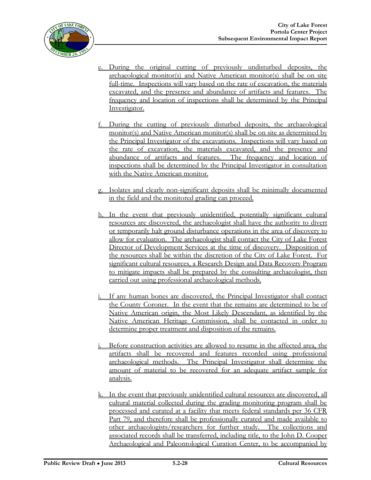

- e. During the original cutting of previously undisturbed deposits, the archaeological monitor(s) and Native American monitor(s) shall be on site full-time. Inspections will vary based on the rate of excavation, the materials excavated, and the presence and abundance of artifacts and features. The frequency and location of inspections shall be determined by the Principal Investigator.
- f. During the cutting of previously disturbed deposits, the archaeological monitor(s) and Native American monitor(s) shall be on site as determined by the Principal Investigator of the excavations. Inspections will vary based on the rate of excavation, the materials excavated, and the presence and abundance of artifacts and features. The frequency and location of inspections shall be determined by the Principal Investigator in consultation with the Native American monitor.
- g. Isolates and clearly non-significant deposits shall be minimally documented in the field and the monitored grading can proceed.
- h. In the event that previously unidentified, potentially significant cultural resources are discovered, the archaeologist shall have the authority to divert or temporarily halt ground disturbance operations in the area of discovery to allow for evaluation. The archaeologist shall contact the City of Lake Forest Director of Development Services at the time of discovery. Disposition of the resources shall be within the discretion of the City of Lake Forest. For significant cultural resources, a Research Design and Data Recovery Program to mitigate impacts shall be prepared by the consulting archaeologist, then carried out using professional archaeological methods.
- If any human bones are discovered, the Principal Investigator shall contact the County Coroner. In the event that the remains are determined to be of Native American origin, the Most Likely Descendant, as identified by the Native American Heritage Commission, shall be contacted in order to determine proper treatment and disposition of the remains.
- Before construction activities are allowed to resume in the affected area, the artifacts shall be recovered and features recorded using professional archaeological methods. The Principal Investigator shall determine the amount of material to be recovered for an adequate artifact sample for analysis.
- k. In the event that previously unidentified cultural resources are discovered, all cultural material collected during the grading monitoring program shall be processed and curated at a facility that meets federal standards per 36 CFR Part 79, and therefore shall be professionally curated and made available to other archaeologists/researchers for further study. The collections and associated records shall be transferred, including title, to the John D. Cooper Archaeological and Paleontological Curation Center, to be accompanied by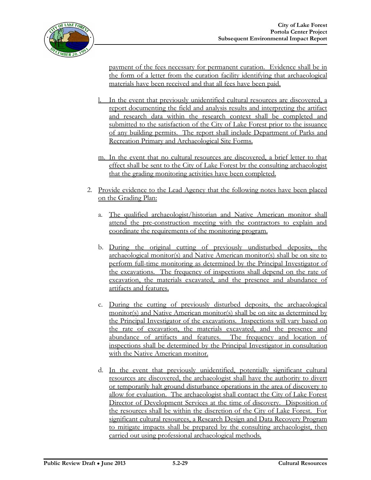payment of the fees necessary for permanent curation. Evidence shall be in the form of a letter from the curation facility identifying that archaeological materials have been received and that all fees have been paid.

- In the event that previously unidentified cultural resources are discovered, a report documenting the field and analysis results and interpreting the artifact and research data within the research context shall be completed and submitted to the satisfaction of the City of Lake Forest prior to the issuance of any building permits. The report shall include Department of Parks and Recreation Primary and Archaeological Site Forms.
- m. In the event that no cultural resources are discovered, a brief letter to that effect shall be sent to the City of Lake Forest by the consulting archaeologist that the grading monitoring activities have been completed.
- 2. Provide evidence to the Lead Agency that the following notes have been placed on the Grading Plan:
	- a. The qualified archaeologist/historian and Native American monitor shall attend the pre-construction meeting with the contractors to explain and coordinate the requirements of the monitoring program.
	- b. During the original cutting of previously undisturbed deposits, the archaeological monitor(s) and Native American monitor(s) shall be on site to perform full-time monitoring as determined by the Principal Investigator of the excavations. The frequency of inspections shall depend on the rate of excavation, the materials excavated, and the presence and abundance of artifacts and features.
	- c. During the cutting of previously disturbed deposits, the archaeological monitor(s) and Native American monitor(s) shall be on site as determined by the Principal Investigator of the excavations. Inspections will vary based on the rate of excavation, the materials excavated, and the presence and abundance of artifacts and features. The frequency and location of inspections shall be determined by the Principal Investigator in consultation with the Native American monitor.
	- d. In the event that previously unidentified, potentially significant cultural resources are discovered, the archaeologist shall have the authority to divert or temporarily halt ground disturbance operations in the area of discovery to allow for evaluation. The archaeologist shall contact the City of Lake Forest Director of Development Services at the time of discovery. Disposition of the resources shall be within the discretion of the City of Lake Forest. For significant cultural resources, a Research Design and Data Recovery Program to mitigate impacts shall be prepared by the consulting archaeologist, then carried out using professional archaeological methods.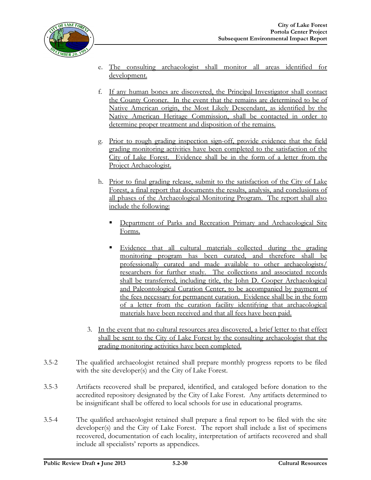

- e. The consulting archaeologist shall monitor all areas identified for development.
- f. If any human bones are discovered, the Principal Investigator shall contact the County Coroner. In the event that the remains are determined to be of Native American origin, the Most Likely Descendant, as identified by the Native American Heritage Commission, shall be contacted in order to determine proper treatment and disposition of the remains.
- g. Prior to rough grading inspection sign-off, provide evidence that the field grading monitoring activities have been completed to the satisfaction of the City of Lake Forest. Evidence shall be in the form of a letter from the Project Archaeologist.
- h. Prior to final grading release, submit to the satisfaction of the City of Lake Forest, a final report that documents the results, analysis, and conclusions of all phases of the Archaeological Monitoring Program. The report shall also include the following:
	- Department of Parks and Recreation Primary and Archaeological Site Forms.
	- Evidence that all cultural materials collected during the grading monitoring program has been curated, and therefore shall be professionally curated and made available to other archaeologists/ researchers for further study. The collections and associated records shall be transferred, including title, the John D. Cooper Archaeological and Paleontological Curation Center, to be accompanied by payment of the fees necessary for permanent curation. Evidence shall be in the form of a letter from the curation facility identifying that archaeological materials have been received and that all fees have been paid.
- 3. In the event that no cultural resources area discovered, a brief letter to that effect shall be sent to the City of Lake Forest by the consulting archaeologist that the grading monitoring activities have been completed.
- 3.5-2 The qualified archaeologist retained shall prepare monthly progress reports to be filed with the site developer(s) and the City of Lake Forest.
- 3.5-3 Artifacts recovered shall be prepared, identified, and cataloged before donation to the accredited repository designated by the City of Lake Forest. Any artifacts determined to be insignificant shall be offered to local schools for use in educational programs.
- 3.5-4 The qualified archaeologist retained shall prepare a final report to be filed with the site developer(s) and the City of Lake Forest. The report shall include a list of specimens recovered, documentation of each locality, interpretation of artifacts recovered and shall include all specialists' reports as appendices.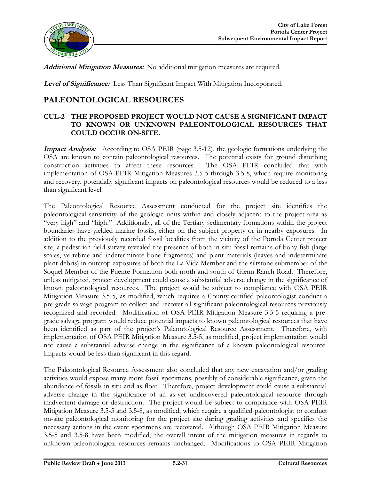

**Additional Mitigation Measures:** No additional mitigation measures are required.

**Level of Significance:** Less Than Significant Impact With Mitigation Incorporated.

### **PALEONTOLOGICAL RESOURCES**

#### **CUL-2 THE PROPOSED PROJECT WOULD NOT CAUSE A SIGNIFICANT IMPACT TO KNOWN OR UNKNOWN PALEONTOLOGICAL RESOURCES THAT COULD OCCUR ON-SITE.**

**Impact Analysis:** According to OSA PEIR (page 3.5-12), the geologic formations underlying the OSA are known to contain paleontological resources. The potential exists for ground disturbing construction activities to affect these resources. The OSA PEIR concluded that with implementation of OSA PEIR Mitigation Measures 3.5-5 through 3.5-8, which require monitoring and recovery, potentially significant impacts on paleontological resources would be reduced to a less than significant level.

The Paleontological Resource Assessment conducted for the project site identifies the paleontological sensitivity of the geologic units within and closely adjacent to the project area as "very high" and "high." Additionally, all of the Tertiary sedimentary formations within the project boundaries have yielded marine fossils, either on the subject property or in nearby exposures. In addition to the previously recorded fossil localities from the vicinity of the Portola Center project site, a pedestrian field survey revealed the presence of both in situ fossil remains of bony fish (large scales, vertebrae and indeterminate bone fragments) and plant materials (leaves and indeterminate plant debris) in outcrop exposures of both the La Vida Member and the siltstone submember of the Soquel Member of the Puente Formation both north and south of Glenn Ranch Road. Therefore, unless mitigated, project development could cause a substantial adverse change in the significance of known paleontological resources. The project would be subject to compliance with OSA PEIR Mitigation Measure 3.5-5, as modified, which requires a County-certified paleontologist conduct a pre-grade salvage program to collect and recover all significant paleontological resources previously recognized and recorded. Modification of OSA PEIR Mitigation Measure 3.5-5 requiring a pregrade salvage program would reduce potential impacts to known paleontological resources that have been identified as part of the project's Paleontological Resource Assessment. Therefore, with implementation of OSA PEIR Mitigation Measure 3.5-5, as modified, project implementation would not cause a substantial adverse change in the significance of a known paleontological resource. Impacts would be less than significant in this regard.

The Paleontological Resource Assessment also concluded that any new excavation and/or grading activities would expose many more fossil specimens, possibly of considerable significance, given the abundance of fossils in situ and as float. Therefore, project development could cause a substantial adverse change in the significance of an as-yet undiscovered paleontological resource through inadvertent damage or destruction. The project would be subject to compliance with OSA PEIR Mitigation Measure 3.5-5 and 3.5-8, as modified, which require a qualified paleontologist to conduct on-site paleontological monitoring for the project site during grading activities and specifies the necessary actions in the event specimens are recovered. Although OSA PEIR Mitigation Measure 3.5-5 and 3.5-8 have been modified, the overall intent of the mitigation measures in regards to unknown paleontological resources remains unchanged. Modifications to OSA PEIR Mitigation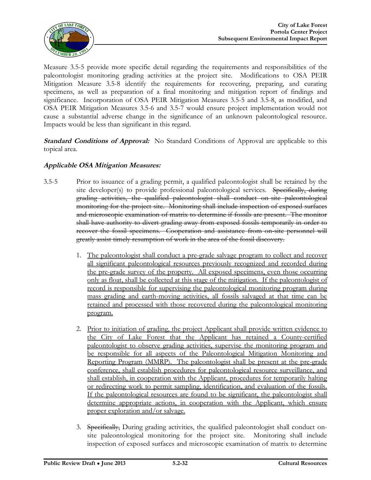

Measure 3.5-5 provide more specific detail regarding the requirements and responsibilities of the paleontologist monitoring grading activities at the project site. Modifications to OSA PEIR Mitigation Measure 3.5-8 identify the requirements for recovering, preparing, and curating specimens, as well as preparation of a final monitoring and mitigation report of findings and significance. Incorporation of OSA PEIR Mitigation Measures 3.5-5 and 3.5-8, as modified, and OSA PEIR Mitigation Measures 3.5-6 and 3.5-7 would ensure project implementation would not cause a substantial adverse change in the significance of an unknown paleontological resource. Impacts would be less than significant in this regard.

**Standard Conditions of Approval:** No Standard Conditions of Approval are applicable to this topical area.

#### **Applicable OSA Mitigation Measures:**

- 3.5-5 Prior to issuance of a grading permit, a qualified paleontologist shall be retained by the site developer(s) to provide professional paleontological services. Specifically, during grading activities, the qualified paleontologist shall conduct on-site paleontological monitoring for the project site. Monitoring shall include inspection of exposed surfaces and microscopic examination of matrix to determine if fossils are present. The monitor shall have authority to divert grading away from exposed fossils temporarily in order to recover the fossil specimens. Cooperation and assistance from on-site personnel will greatly assist timely resumption of work in the area of the fossil discovery.
	- 1. The paleontologist shall conduct a pre-grade salvage program to collect and recover all significant paleontological resources previously recognized and recorded during the pre-grade survey of the property. All exposed specimens, even those occurring only as float, shall be collected at this stage of the mitigation. If the paleontologist of record is responsible for supervising the paleontological monitoring program during mass grading and earth-moving activities, all fossils salvaged at that time can be retained and processed with those recovered during the paleontological monitoring program.
	- 2. Prior to initiation of grading, the project Applicant shall provide written evidence to the City of Lake Forest that the Applicant has retained a County-certified paleontologist to observe grading activities, supervise the monitoring program and be responsible for all aspects of the Paleontological Mitigation Monitoring and Reporting Program (MMRP). The paleontologist shall be present at the pre-grade conference, shall establish procedures for paleontological resource surveillance, and shall establish, in cooperation with the Applicant, procedures for temporarily halting or redirecting work to permit sampling, identification, and evaluation of the fossils. If the paleontological resources are found to be significant, the paleontologist shall determine appropriate actions, in cooperation with the Applicant, which ensure proper exploration and/or salvage.
	- 3. Specifically, During grading activities, the qualified paleontologist shall conduct onsite paleontological monitoring for the project site. Monitoring shall include inspection of exposed surfaces and microscopic examination of matrix to determine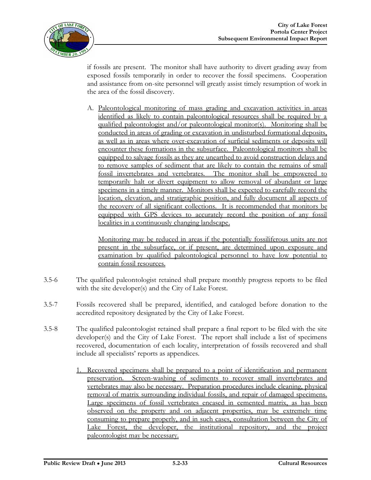

if fossils are present. The monitor shall have authority to divert grading away from exposed fossils temporarily in order to recover the fossil specimens. Cooperation and assistance from on-site personnel will greatly assist timely resumption of work in the area of the fossil discovery.

A. Paleontological monitoring of mass grading and excavation activities in areas identified as likely to contain paleontological resources shall be required by a qualified paleontologist and/or paleontological monitor(s). Monitoring shall be conducted in areas of grading or excavation in undisturbed formational deposits, as well as in areas where over-excavation of surficial sediments or deposits will encounter these formations in the subsurface. Paleontological monitors shall be equipped to salvage fossils as they are unearthed to avoid construction delays and to remove samples of sediment that are likely to contain the remains of small fossil invertebrates and vertebrates. The monitor shall be empowered to temporarily halt or divert equipment to allow removal of abundant or large specimens in a timely manner. Monitors shall be expected to carefully record the location, elevation, and stratigraphic position, and fully document all aspects of the recovery of all significant collections. It is recommended that monitors be equipped with GPS devices to accurately record the position of any fossil localities in a continuously changing landscape.

Monitoring may be reduced in areas if the potentially fossiliferous units are not present in the subsurface, or if present, are determined upon exposure and examination by qualified paleontological personnel to have low potential to contain fossil resources.

- 3.5-6 The qualified paleontologist retained shall prepare monthly progress reports to be filed with the site developer(s) and the City of Lake Forest.
- 3.5-7 Fossils recovered shall be prepared, identified, and cataloged before donation to the accredited repository designated by the City of Lake Forest.
- 3.5-8 The qualified paleontologist retained shall prepare a final report to be filed with the site developer(s) and the City of Lake Forest. The report shall include a list of specimens recovered, documentation of each locality, interpretation of fossils recovered and shall include all specialists' reports as appendices.
	- 1. Recovered specimens shall be prepared to a point of identification and permanent preservation. Screen-washing of sediments to recover small invertebrates and vertebrates may also be necessary. Preparation procedures include cleaning, physical removal of matrix surrounding individual fossils, and repair of damaged specimens. Large specimens of fossil vertebrates encased in cemented matrix, as has been observed on the property and on adjacent properties, may be extremely time consuming to prepare properly, and in such cases, consultation between the City of Lake Forest, the developer, the institutional repository, and the project paleontologist may be necessary.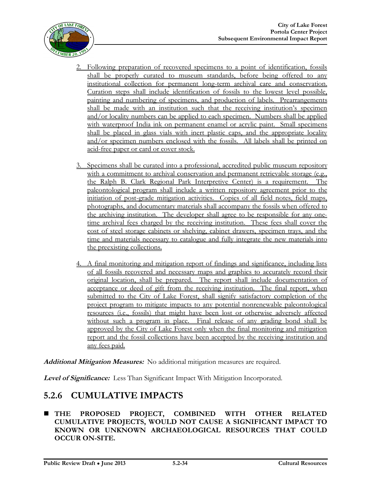

- 2. Following preparation of recovered specimens to a point of identification, fossils shall be properly curated to museum standards, before being offered to any institutional collection for permanent long-term archival care and conservation. Curation steps shall include identification of fossils to the lowest level possible, painting and numbering of specimens, and production of labels. Prearrangements shall be made with an institution such that the receiving institution's specimen and/or locality numbers can be applied to each specimen. Numbers shall be applied with waterproof India ink on permanent enamel or acrylic paint. Small specimens shall be placed in glass vials with inert plastic caps, and the appropriate locality and/or specimen numbers enclosed with the fossils. All labels shall be printed on acid-free paper or card or cover stock.
- 3. Specimens shall be curated into a professional, accredited public museum repository with a commitment to archival conservation and permanent retrievable storage (e.g., the Ralph B. Clark Regional Park Interpretive Center) is a requirement. The paleontological program shall include a written repository agreement prior to the initiation of post-grade mitigation activities. Copies of all field notes, field maps, photographs, and documentary materials shall accompany the fossils when offered to the archiving institution. The developer shall agree to be responsible for any onetime archival fees charged by the receiving institution. These fees shall cover the cost of steel storage cabinets or shelving, cabinet drawers, specimen trays, and the time and materials necessary to catalogue and fully integrate the new materials into the preexisting collections.
- 4. A final monitoring and mitigation report of findings and significance, including lists of all fossils recovered and necessary maps and graphics to accurately record their original location, shall be prepared. The report shall include documentation of acceptance or deed of gift from the receiving institution. The final report, when submitted to the City of Lake Forest, shall signify satisfactory completion of the project program to mitigate impacts to any potential nonrenewable paleontological resources (i.e., fossils) that might have been lost or otherwise adversely affected without such a program in place. Final release of any grading bond shall be approved by the City of Lake Forest only when the final monitoring and mitigation report and the fossil collections have been accepted by the receiving institution and any fees paid.

**Additional Mitigation Measures:** No additional mitigation measures are required.

**Level of Significance:** Less Than Significant Impact With Mitigation Incorporated.

# **5.2.6 CUMULATIVE IMPACTS**

 **THE PROPOSED PROJECT, COMBINED WITH OTHER RELATED CUMULATIVE PROJECTS, WOULD NOT CAUSE A SIGNIFICANT IMPACT TO KNOWN OR UNKNOWN ARCHAEOLOGICAL RESOURCES THAT COULD OCCUR ON-SITE.**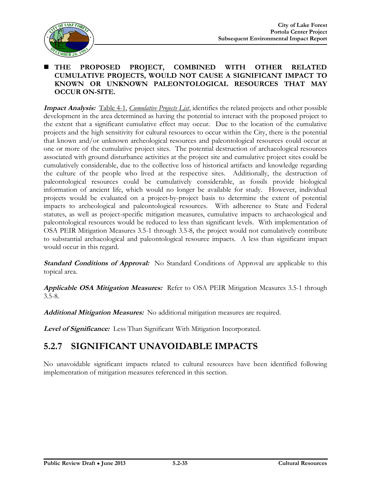

#### **THE PROPOSED PROJECT, COMBINED WITH OTHER RELATED CUMULATIVE PROJECTS, WOULD NOT CAUSE A SIGNIFICANT IMPACT TO KNOWN OR UNKNOWN PALEONTOLOGICAL RESOURCES THAT MAY OCCUR ON-SITE.**

**Impact Analysis:** Table 4-1, *Cumulative Projects List*, identifies the related projects and other possible development in the area determined as having the potential to interact with the proposed project to the extent that a significant cumulative effect may occur. Due to the location of the cumulative projects and the high sensitivity for cultural resources to occur within the City, there is the potential that known and/or unknown archeological resources and paleontological resources could occur at one or more of the cumulative project sites. The potential destruction of archaeological resources associated with ground disturbance activities at the project site and cumulative project sites could be cumulatively considerable, due to the collective loss of historical artifacts and knowledge regarding the culture of the people who lived at the respective sites. Additionally, the destruction of paleontological resources could be cumulatively considerable, as fossils provide biological information of ancient life, which would no longer be available for study. However, individual projects would be evaluated on a project-by-project basis to determine the extent of potential impacts to archeological and paleontological resources. With adherence to State and Federal statutes, as well as project-specific mitigation measures, cumulative impacts to archaeological and paleontological resources would be reduced to less than significant levels. With implementation of OSA PEIR Mitigation Measures 3.5-1 through 3.5-8, the project would not cumulatively contribute to substantial archaeological and paleontological resource impacts. A less than significant impact would occur in this regard.

**Standard Conditions of Approval:** No Standard Conditions of Approval are applicable to this topical area.

**Applicable OSA Mitigation Measures:** Refer to OSA PEIR Mitigation Measures 3.5-1 through 3.5-8.

**Additional Mitigation Measures:** No additional mitigation measures are required.

**Level of Significance:** Less Than Significant With Mitigation Incorporated.

# **5.2.7 SIGNIFICANT UNAVOIDABLE IMPACTS**

No unavoidable significant impacts related to cultural resources have been identified following implementation of mitigation measures referenced in this section.